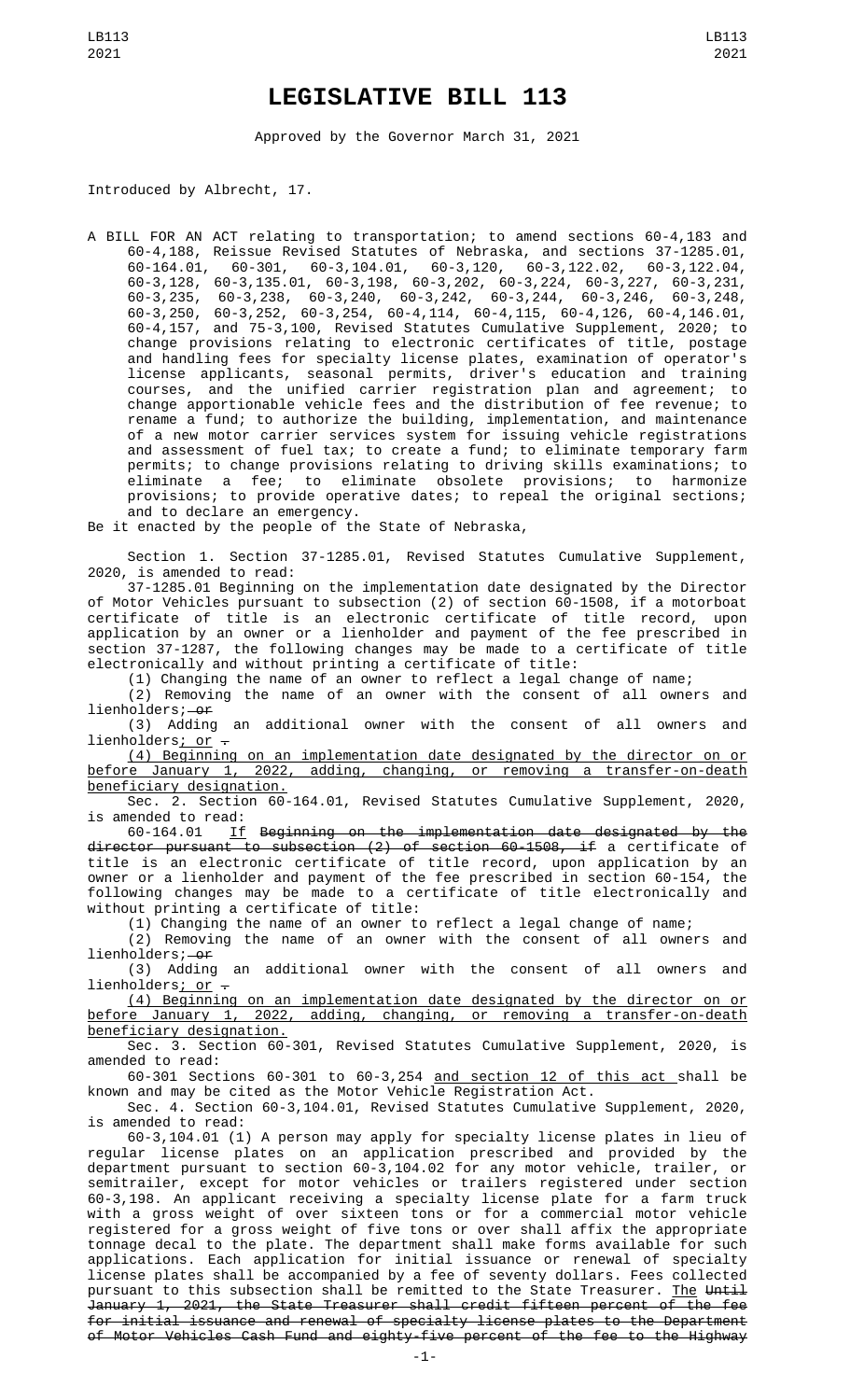## **LEGISLATIVE BILL 113**

Approved by the Governor March 31, 2021

Introduced by Albrecht, 17.

A BILL FOR AN ACT relating to transportation; to amend sections 60-4,183 and 60-4,188, Reissue Revised Statutes of Nebraska, and sections 37-1285.01, 60-164.01, 60-301, 60-3,104.01, 60-3,120, 60-3,122.02, 60-3,122.04, 60-3,128, 60-3,135.01, 60-3,198, 60-3,202, 60-3,224, 60-3,227, 60-3,231, 60-3,235, 60-3,238, 60-3,240, 60-3,242, 60-3,244, 60-3,246, 60-3,248, 60-3,250, 60-3,252, 60-3,254, 60-4,114, 60-4,115, 60-4,126, 60-4,146.01, 60-4,157, and 75-3,100, Revised Statutes Cumulative Supplement, 2020; to change provisions relating to electronic certificates of title, postage and handling fees for specialty license plates, examination of operator's license applicants, seasonal permits, driver's education and training courses, and the unified carrier registration plan and agreement; to change apportionable vehicle fees and the distribution of fee revenue; to rename a fund; to authorize the building, implementation, and maintenance of a new motor carrier services system for issuing vehicle registrations and assessment of fuel tax; to create a fund; to eliminate temporary farm permits; to change provisions relating to driving skills examinations; to<br>eliminate a fee; to eliminate obsolete provisions; to harmonize to eliminate obsolete provisions; to harmonize provisions; to provide operative dates; to repeal the original sections; and to declare an emergency.

Be it enacted by the people of the State of Nebraska,

Section 1. Section 37-1285.01, Revised Statutes Cumulative Supplement, 2020, is amended to read:

37-1285.01 Beginning on the implementation date designated by the Director of Motor Vehicles pursuant to subsection (2) of section 60-1508, if a motorboat certificate of title is an electronic certificate of title record, upon application by an owner or a lienholder and payment of the fee prescribed in section 37-1287, the following changes may be made to a certificate of title electronically and without printing a certificate of title:

(1) Changing the name of an owner to reflect a legal change of name;

(2) Removing the name of an owner with the consent of all owners and lienholders;-or

(3) Adding an additional owner with the consent of all owners and lienholders; or  $-$ 

(4) Beginning on an implementation date designated by the director on or before January 1, 2022, adding, changing, or removing a transfer-on-death beneficiary designation.

Sec. 2. Section 60-164.01, Revised Statutes Cumulative Supplement, 2020, is amended to read:

If Beginning on the implementation date designated by the director pursuant to subsection (2) of section 60-1508, if a certificate of title is an electronic certificate of title record, upon application by an owner or a lienholder and payment of the fee prescribed in section 60-154, the following changes may be made to a certificate of title electronically and without printing a certificate of title:

(1) Changing the name of an owner to reflect a legal change of name;

(2) Removing the name of an owner with the consent of all owners and lienholders; <del>or</del>

(3) Adding an additional owner with the consent of all owners and lienholders; or  $-$ 

(4) Beginning on an implementation date designated by the director on or before January 1, 2022, adding, changing, or removing a transfer-on-death beneficiary designation.

Sec. 3. Section 60-301, Revised Statutes Cumulative Supplement, 2020, is amended to read:

60-301 Sections 60-301 to 60-3,254 and section 12 of this act shall be known and may be cited as the Motor Vehicle Registration Act.

Sec. 4. Section 60-3,104.01, Revised Statutes Cumulative Supplement, 2020, is amended to read:

60-3,104.01 (1) A person may apply for specialty license plates in lieu of regular license plates on an application prescribed and provided by the department pursuant to section 60-3,104.02 for any motor vehicle, trailer, or semitrailer, except for motor vehicles or trailers registered under section 60-3,198. An applicant receiving a specialty license plate for a farm truck with a gross weight of over sixteen tons or for a commercial motor vehicle registered for a gross weight of five tons or over shall affix the appropriate tonnage decal to the plate. The department shall make forms available for such applications. Each application for initial issuance or renewal of specialty license plates shall be accompanied by a fee of seventy dollars. Fees collected pursuant to this subsection shall be remitted to the State Treasurer. The Until January 1, 2021, the State Treasurer shall credit fifteen percent of the fee for initial issuance and renewal of specialty license plates to the Department of Motor Vehicles Cash Fund and eighty-five percent of the fee to the Highway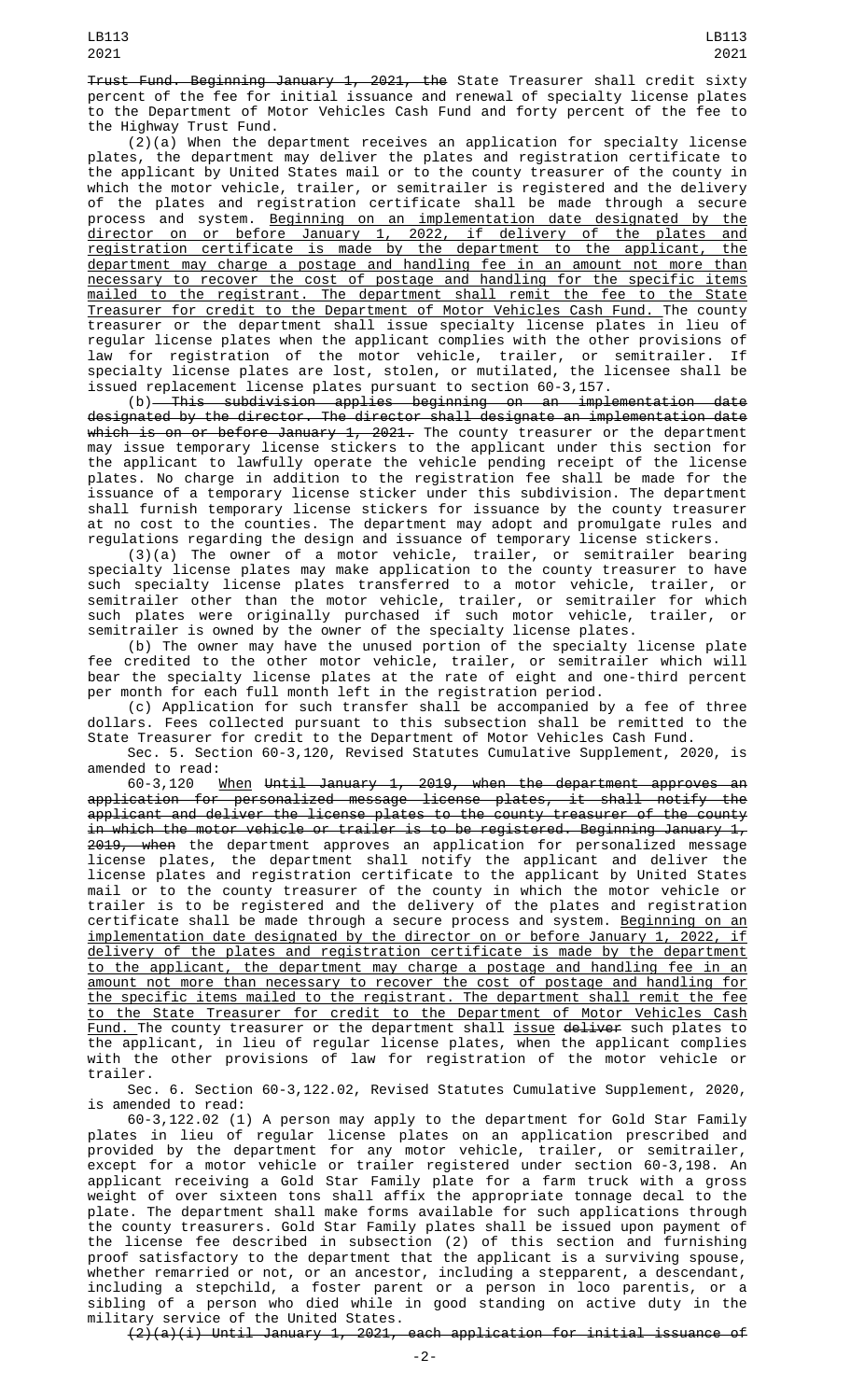Trust Fund. Beginning January 1, 2021, the State Treasurer shall credit sixty percent of the fee for initial issuance and renewal of specialty license plates to the Department of Motor Vehicles Cash Fund and forty percent of the fee to the Highway Trust Fund.

 $(2)(a)$  When the department receives an application for specialty license plates, the department may deliver the plates and registration certificate to the applicant by United States mail or to the county treasurer of the county in which the motor vehicle, trailer, or semitrailer is registered and the delivery of the plates and registration certificate shall be made through a secure process and system. Beginning on an implementation date designated by the director on or before January 1, 2022, if delivery of the plates and registration certificate is made by the department to the applicant, the department may charge a postage and handling fee in an amount not more than necessary to recover the cost of postage and handling for the specific items mailed to the registrant. The department shall remit the fee to the State Treasurer for credit to the Department of Motor Vehicles Cash Fund. The county treasurer or the department shall issue specialty license plates in lieu of regular license plates when the applicant complies with the other provisions of law for registration of the motor vehicle, trailer, or semitrailer. If specialty license plates are lost, stolen, or mutilated, the licensee shall be issued replacement license plates pursuant to section 60-3,157.

(b) This subdivision applies beginning on an implementation date designated by the director. The director shall designate an implementation date <del>which is on or before January 1, 2021.</del> The county treasurer or the department may issue temporary license stickers to the applicant under this section for the applicant to lawfully operate the vehicle pending receipt of the license plates. No charge in addition to the registration fee shall be made for the issuance of a temporary license sticker under this subdivision. The department shall furnish temporary license stickers for issuance by the county treasurer at no cost to the counties. The department may adopt and promulgate rules and regulations regarding the design and issuance of temporary license stickers.

(3)(a) The owner of a motor vehicle, trailer, or semitrailer bearing specialty license plates may make application to the county treasurer to have such specialty license plates transferred to a motor vehicle, trailer, or semitrailer other than the motor vehicle, trailer, or semitrailer for which such plates were originally purchased if such motor vehicle, trailer, or semitrailer is owned by the owner of the specialty license plates.

(b) The owner may have the unused portion of the specialty license plate fee credited to the other motor vehicle, trailer, or semitrailer which will bear the specialty license plates at the rate of eight and one-third percent per month for each full month left in the registration period.

(c) Application for such transfer shall be accompanied by a fee of three dollars. Fees collected pursuant to this subsection shall be remitted to the State Treasurer for credit to the Department of Motor Vehicles Cash Fund.

Sec. 5. Section 60-3,120, Revised Statutes Cumulative Supplement, 2020, is amended to read:

60-3,120 When Until January 1, 2019, when the department approves an application for personalized message license plates, it shall notify the applicant and deliver the license plates to the county treasurer of the county in which the motor vehicle or trailer is to be registered. Beginning January  $1/2$ 2019, when the department approves an application for personalized message license plates, the department shall notify the applicant and deliver the license plates and registration certificate to the applicant by United States mail or to the county treasurer of the county in which the motor vehicle or trailer is to be registered and the delivery of the plates and registration certificate shall be made through a secure process and system. <u>Beginning on an</u> implementation date designated by the director on or before January 1, 2022, if delivery of the plates and registration certificate is made by the department to the applicant, the department may charge a postage and handling fee in an amount not more than necessary to recover the cost of postage and handling for the specific items mailed to the registrant. The department shall remit the fee to the State Treasurer for credit to the Department of Motor Vehicles Cash Fund. The county treasurer or the department shall issue deliver such plates to the applicant, in lieu of regular license plates, when the applicant complies with the other provisions of law for registration of the motor vehicle or trailer.

Sec. 6. Section 60-3,122.02, Revised Statutes Cumulative Supplement, 2020,

is amended to read:<br>60-3,122.02 (1) A person may apply to the department for Gold Star Family 60-3,122.02 (1) A person may apply to the department for Gold Star Family plates in lieu of regular license plates on an application prescribed and provided by the department for any motor vehicle, trailer, or semitrailer, except for a motor vehicle or trailer registered under section 60-3,198. An applicant receiving a Gold Star Family plate for a farm truck with a gross weight of over sixteen tons shall affix the appropriate tonnage decal to the plate. The department shall make forms available for such applications through the county treasurers. Gold Star Family plates shall be issued upon payment of the license fee described in subsection (2) of this section and furnishing proof satisfactory to the department that the applicant is a surviving spouse, whether remarried or not, or an ancestor, including a stepparent, a descendant, including a stepchild, a foster parent or a person in loco parentis, or a sibling of a person who died while in good standing on active duty in the military service of the United States.

(2)(a)(i) Until January 1, 2021, each application for initial issuance of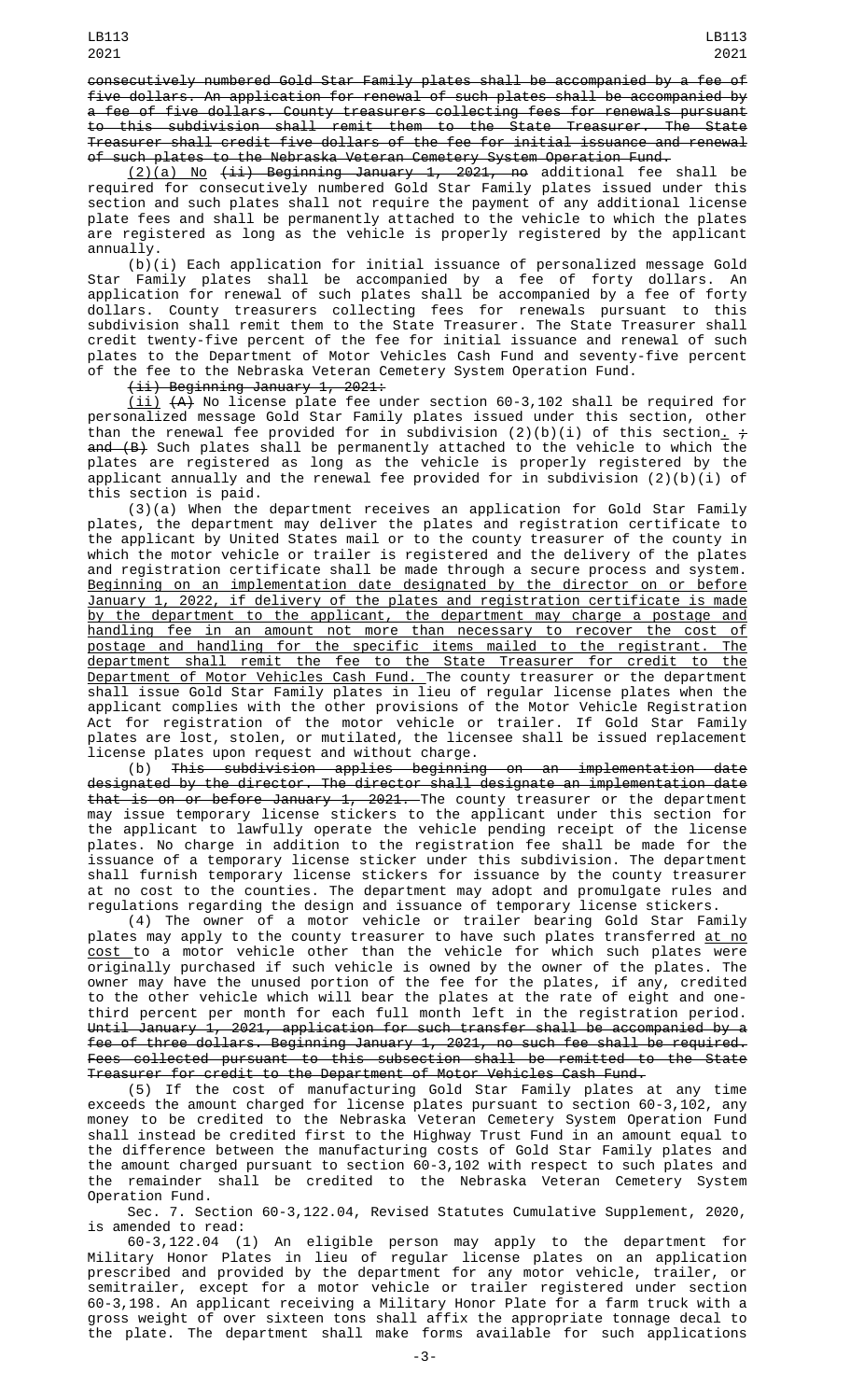consecutively numbered Gold Star Family plates shall be accompanied by a fee of five dollars. An application for renewal of such plates shall be accompanied by a fee of five dollars. County treasurers collecting fees for renewals pursuant to this subdivision shall remit them to the State Treasurer. The State Treasurer shall credit five dollars of the fee for initial issuance and renewal of such plates to the Nebraska Veteran Cemetery System Operation Fund.

 $(2)(a)$  No  $(i)$  Beginning January 1, 2021, no additional fee shall be required for consecutively numbered Gold Star Family plates issued under this section and such plates shall not require the payment of any additional license plate fees and shall be permanently attached to the vehicle to which the plates are registered as long as the vehicle is properly registered by the applicant annuallv.

 $(b)(i)$  Each application for initial issuance of personalized message Gold Star Family plates shall be accompanied by a fee of forty dollars. An application for renewal of such plates shall be accompanied by a fee of forty dollars. County treasurers collecting fees for renewals pursuant to this subdivision shall remit them to the State Treasurer. The State Treasurer shall credit twenty-five percent of the fee for initial issuance and renewal of such plates to the Department of Motor Vehicles Cash Fund and seventy-five percent of the fee to the Nebraska Veteran Cemetery System Operation Fund.

(ii) Beginning January 1, 2021:

(ii) (A) No license plate fee under section 60-3,102 shall be required for personalized message Gold Star Family plates issued under this section, other than the renewal fee provided for in subdivision (2)(b)(i) of this section<u>.</u> + and (B) Such plates shall be permanently attached to the vehicle to which the plates are registered as long as the vehicle is properly registered by the applicant annually and the renewal fee provided for in subdivision (2)(b)(i) of this section is paid.

(3)(a) When the department receives an application for Gold Star Family plates, the department may deliver the plates and registration certificate to the applicant by United States mail or to the county treasurer of the county in which the motor vehicle or trailer is registered and the delivery of the plates and registration certificate shall be made through a secure process and system. Beginning on an implementation date designated by the director on or before January 1, 2022, if delivery of the plates and registration certificate is made by the department to the applicant, the department may charge a postage and handling fee in an amount not more than necessary to recover the cost of postage and handling for the specific items mailed to the registrant. The department shall remit the fee to the State Treasurer for credit to the Department of Motor Vehicles Cash Fund. The county treasurer or the department shall issue Gold Star Family plates in lieu of regular license plates when the applicant complies with the other provisions of the Motor Vehicle Registration Act for registration of the motor vehicle or trailer. If Gold Star Family plates are lost, stolen, or mutilated, the licensee shall be issued replacement license plates upon request and without charge.

(b) This subdivision applies beginning on an implementation date designated by the director. The director shall designate an implementation date that is on or before January 1, 2021. The county treasurer or the department may issue temporary license stickers to the applicant under this section for the applicant to lawfully operate the vehicle pending receipt of the license plates. No charge in addition to the registration fee shall be made for the issuance of a temporary license sticker under this subdivision. The department shall furnish temporary license stickers for issuance by the county treasurer at no cost to the counties. The department may adopt and promulgate rules and regulations regarding the design and issuance of temporary license stickers.

(4) The owner of a motor vehicle or trailer bearing Gold Star Family plates may apply to the county treasurer to have such plates transferred <u>at no</u> <u>cost </u>to a motor vehicle other than the vehicle for which such plates were originally purchased if such vehicle is owned by the owner of the plates. The owner may have the unused portion of the fee for the plates, if any, credited to the other vehicle which will bear the plates at the rate of eight and onethird percent per month for each full month left in the registration period. Until January 1, 2021, application for such transfer shall be accompanied by a fee of three dollars. Beginning January 1, 2021, no such fee shall be required. Fees collected pursuant to this subsection shall be remitted to the State Treasurer for credit to the Department of Motor Vehicles Cash Fund.

(5) If the cost of manufacturing Gold Star Family plates at any time exceeds the amount charged for license plates pursuant to section 60-3,102, any money to be credited to the Nebraska Veteran Cemetery System Operation Fund shall instead be credited first to the Highway Trust Fund in an amount equal to the difference between the manufacturing costs of Gold Star Family plates and the amount charged pursuant to section 60-3,102 with respect to such plates and the remainder shall be credited to the Nebraska Veteran Cemetery System Operation Fund.

Sec. 7. Section 60-3,122.04, Revised Statutes Cumulative Supplement, 2020, is amended to read:

60-3,122.04 (1) An eligible person may apply to the department for Military Honor Plates in lieu of regular license plates on an application prescribed and provided by the department for any motor vehicle, trailer, or semitrailer, except for a motor vehicle or trailer registered under section 60-3,198. An applicant receiving a Military Honor Plate for a farm truck with a gross weight of over sixteen tons shall affix the appropriate tonnage decal to the plate. The department shall make forms available for such applications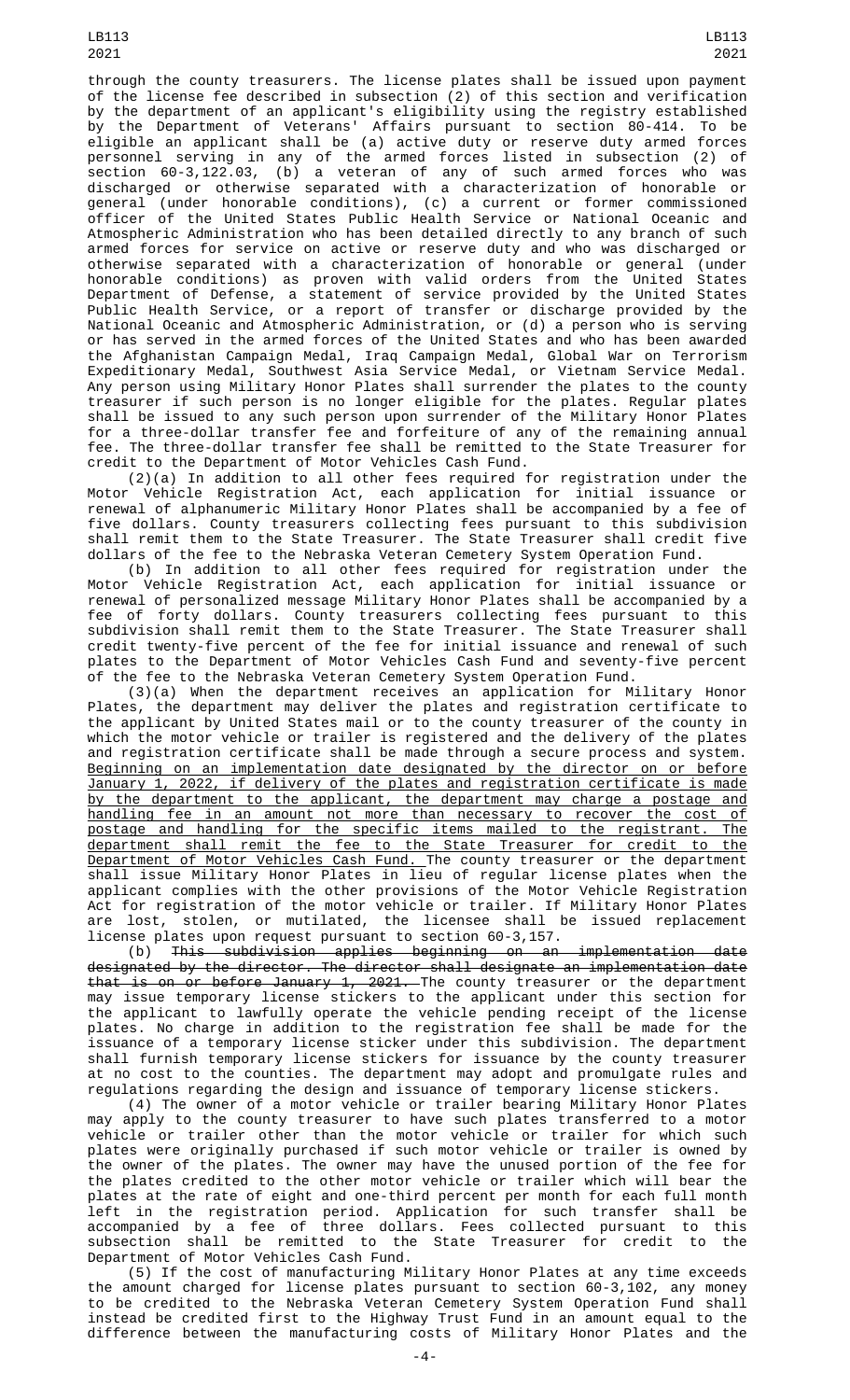LB113 2021

through the county treasurers. The license plates shall be issued upon payment of the license fee described in subsection (2) of this section and verification by the department of an applicant's eligibility using the registry established by the Department of Veterans' Affairs pursuant to section 80-414. To be eligible an applicant shall be (a) active duty or reserve duty armed forces personnel serving in any of the armed forces listed in subsection (2) of section 60-3,122.03, (b) a veteran of any of such armed forces who was discharged or otherwise separated with a characterization of honorable or general (under honorable conditions), (c) a current or former commissioned officer of the United States Public Health Service or National Oceanic and Atmospheric Administration who has been detailed directly to any branch of such armed forces for service on active or reserve duty and who was discharged or otherwise separated with a characterization of honorable or general (under honorable conditions) as proven with valid orders from the United States Department of Defense, a statement of service provided by the United States Public Health Service, or a report of transfer or discharge provided by the National Oceanic and Atmospheric Administration, or (d) a person who is serving or has served in the armed forces of the United States and who has been awarded the Afghanistan Campaign Medal, Iraq Campaign Medal, Global War on Terrorism Expeditionary Medal, Southwest Asia Service Medal, or Vietnam Service Medal. Any person using Military Honor Plates shall surrender the plates to the county treasurer if such person is no longer eligible for the plates. Regular plates shall be issued to any such person upon surrender of the Military Honor Plates for a three-dollar transfer fee and forfeiture of any of the remaining annual fee. The three-dollar transfer fee shall be remitted to the State Treasurer for credit to the Department of Motor Vehicles Cash Fund.

(2)(a) In addition to all other fees required for registration under the Motor Vehicle Registration Act, each application for initial issuance or renewal of alphanumeric Military Honor Plates shall be accompanied by a fee of five dollars. County treasurers collecting fees pursuant to this subdivision shall remit them to the State Treasurer. The State Treasurer shall credit five dollars of the fee to the Nebraska Veteran Cemetery System Operation Fund.

(b) In addition to all other fees required for registration under the Motor Vehicle Registration Act, each application for initial issuance or renewal of personalized message Military Honor Plates shall be accompanied by a fee of forty dollars. County treasurers collecting fees pursuant to this subdivision shall remit them to the State Treasurer. The State Treasurer shall credit twenty-five percent of the fee for initial issuance and renewal of such plates to the Department of Motor Vehicles Cash Fund and seventy-five percent of the fee to the Nebraska Veteran Cemetery System Operation Fund.

(3)(a) When the department receives an application for Military Honor Plates, the department may deliver the plates and registration certificate to the applicant by United States mail or to the county treasurer of the county in which the motor vehicle or trailer is registered and the delivery of the plates and registration certificate shall be made through a secure process and system. Beginning on an implementation date designated by the director on or before January 1, 2022, if delivery of the plates and registration certificate is made by the department to the applicant, the department may charge a postage and handling fee in an amount not more than necessary to recover the cost of postage and handling for the specific items mailed to the registrant. The department shall remit the fee to the State Treasurer for credit to the Department of Motor Vehicles Cash Fund. The county treasurer or the department shall issue Military Honor Plates in lieu of regular license plates when the applicant complies with the other provisions of the Motor Vehicle Registration Act for registration of the motor vehicle or trailer. If Military Honor Plates are lost, stolen, or mutilated, the licensee shall be issued replacement license plates upon request pursuant to section 60-3,157.

(b) This subdivision applies beginning on an implementation date designated by the director. The director shall designate an implementation date that is on or before January 1, 2021. The county treasurer or the department may issue temporary license stickers to the applicant under this section for the applicant to lawfully operate the vehicle pending receipt of the license plates. No charge in addition to the registration fee shall be made for the issuance of a temporary license sticker under this subdivision. The department shall furnish temporary license stickers for issuance by the county treasurer at no cost to the counties. The department may adopt and promulgate rules and regulations regarding the design and issuance of temporary license stickers.

(4) The owner of a motor vehicle or trailer bearing Military Honor Plates may apply to the county treasurer to have such plates transferred to a motor vehicle or trailer other than the motor vehicle or trailer for which such plates were originally purchased if such motor vehicle or trailer is owned by the owner of the plates. The owner may have the unused portion of the fee for the plates credited to the other motor vehicle or trailer which will bear the plates at the rate of eight and one-third percent per month for each full month left in the registration period. Application for such transfer shall be accompanied by a fee of three dollars. Fees collected pursuant to this subsection shall be remitted to the State Treasurer for credit to the Department of Motor Vehicles Cash Fund.

(5) If the cost of manufacturing Military Honor Plates at any time exceeds the amount charged for license plates pursuant to section 60-3,102, any money to be credited to the Nebraska Veteran Cemetery System Operation Fund shall instead be credited first to the Highway Trust Fund in an amount equal to the difference between the manufacturing costs of Military Honor Plates and the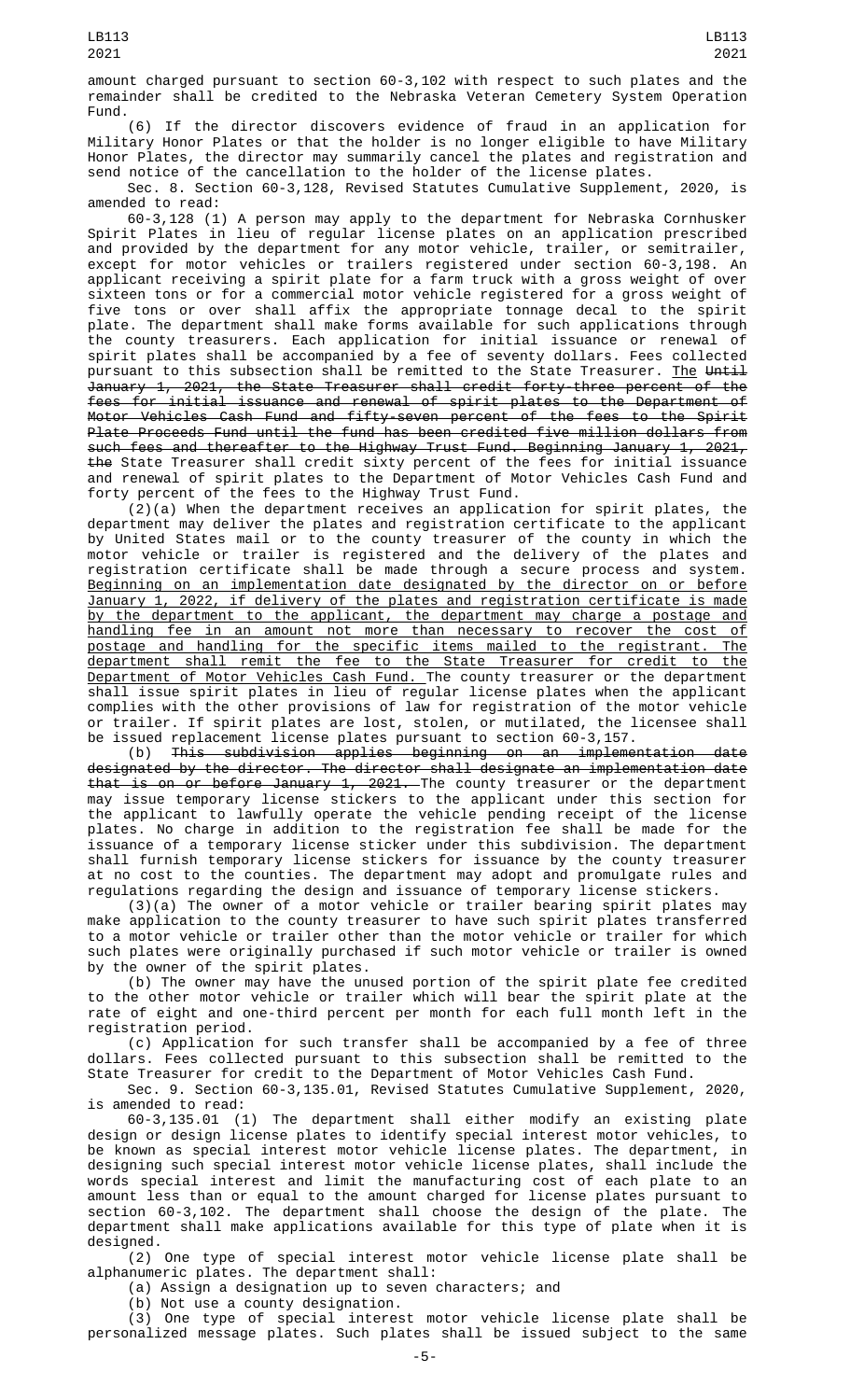(6) If the director discovers evidence of fraud in an application for Military Honor Plates or that the holder is no longer eligible to have Military Honor Plates, the director may summarily cancel the plates and registration and send notice of the cancellation to the holder of the license plates.

Sec. 8. Section 60-3,128, Revised Statutes Cumulative Supplement, 2020, is amended to read:

60-3,128 (1) A person may apply to the department for Nebraska Cornhusker Spirit Plates in lieu of regular license plates on an application prescribed and provided by the department for any motor vehicle, trailer, or semitrailer, except for motor vehicles or trailers registered under section 60-3,198. An applicant receiving a spirit plate for a farm truck with a gross weight of over sixteen tons or for a commercial motor vehicle registered for a gross weight of five tons or over shall affix the appropriate tonnage decal to the spirit plate. The department shall make forms available for such applications through the county treasurers. Each application for initial issuance or renewal of spirit plates shall be accompanied by a fee of seventy dollars. Fees collected pursuant to this subsection shall be remitted to the State Treasurer. <u>The</u> <del>Until</del> January 1, 2021, the State Treasurer shall credit forty-three percent of the fees for initial issuance and renewal of spirit plates to the Department of Motor Vehicles Cash Fund and fifty-seven percent of the fees to the Spirit Plate Proceeds Fund until the fund has been credited five million dollars from such fees and thereafter to the Highway Trust Fund. Beginning January 1, 2021, the State Treasurer shall credit sixty percent of the fees for initial issuance and renewal of spirit plates to the Department of Motor Vehicles Cash Fund and forty percent of the fees to the Highway Trust Fund.

(2)(a) When the department receives an application for spirit plates, the department may deliver the plates and registration certificate to the applicant by United States mail or to the county treasurer of the county in which the motor vehicle or trailer is registered and the delivery of the plates and registration certificate shall be made through a secure process and system. Beginning on an implementation date designated by the director on or before January 1, 2022, if delivery of the plates and registration certificate is made by the department to the applicant, the department may charge a postage and handling fee in an amount not more than necessary to recover the cost of postage and handling for the specific items mailed to the registrant. The department shall remit the fee to the State Treasurer for credit to the Department of Motor Vehicles Cash Fund. The county treasurer or the department shall issue spirit plates in lieu of regular license plates when the applicant complies with the other provisions of law for registration of the motor vehicle or trailer. If spirit plates are lost, stolen, or mutilated, the licensee shall be issued replacement license plates pursuant to section 60-3,157.

(b) This subdivision applies beginning on an implementation date designated by the director. The director shall designate an implementation date that is on or before January 1, 2021. The county treasurer or the department may issue temporary license stickers to the applicant under this section for the applicant to lawfully operate the vehicle pending receipt of the license plates. No charge in addition to the registration fee shall be made for the issuance of a temporary license sticker under this subdivision. The department shall furnish temporary license stickers for issuance by the county treasurer at no cost to the counties. The department may adopt and promulgate rules and regulations regarding the design and issuance of temporary license stickers.

(3)(a) The owner of a motor vehicle or trailer bearing spirit plates may make application to the county treasurer to have such spirit plates transferred to a motor vehicle or trailer other than the motor vehicle or trailer for which such plates were originally purchased if such motor vehicle or trailer is owned by the owner of the spirit plates.

(b) The owner may have the unused portion of the spirit plate fee credited to the other motor vehicle or trailer which will bear the spirit plate at the rate of eight and one-third percent per month for each full month left in the registration period.

(c) Application for such transfer shall be accompanied by a fee of three dollars. Fees collected pursuant to this subsection shall be remitted to the State Treasurer for credit to the Department of Motor Vehicles Cash Fund.

Sec. 9. Section 60-3,135.01, Revised Statutes Cumulative Supplement, 2020, is amended to read:

60-3,135.01 (1) The department shall either modify an existing plate design or design license plates to identify special interest motor vehicles, to be known as special interest motor vehicle license plates. The department, in designing such special interest motor vehicle license plates, shall include the words special interest and limit the manufacturing cost of each plate to an amount less than or equal to the amount charged for license plates pursuant to section 60-3,102. The department shall choose the design of the plate. The department shall make applications available for this type of plate when it is designed.

(2) One type of special interest motor vehicle license plate shall be alphanumeric plates. The department shall:

(a) Assign a designation up to seven characters; and

(b) Not use a county designation.

(3) One type of special interest motor vehicle license plate shall be personalized message plates. Such plates shall be issued subject to the same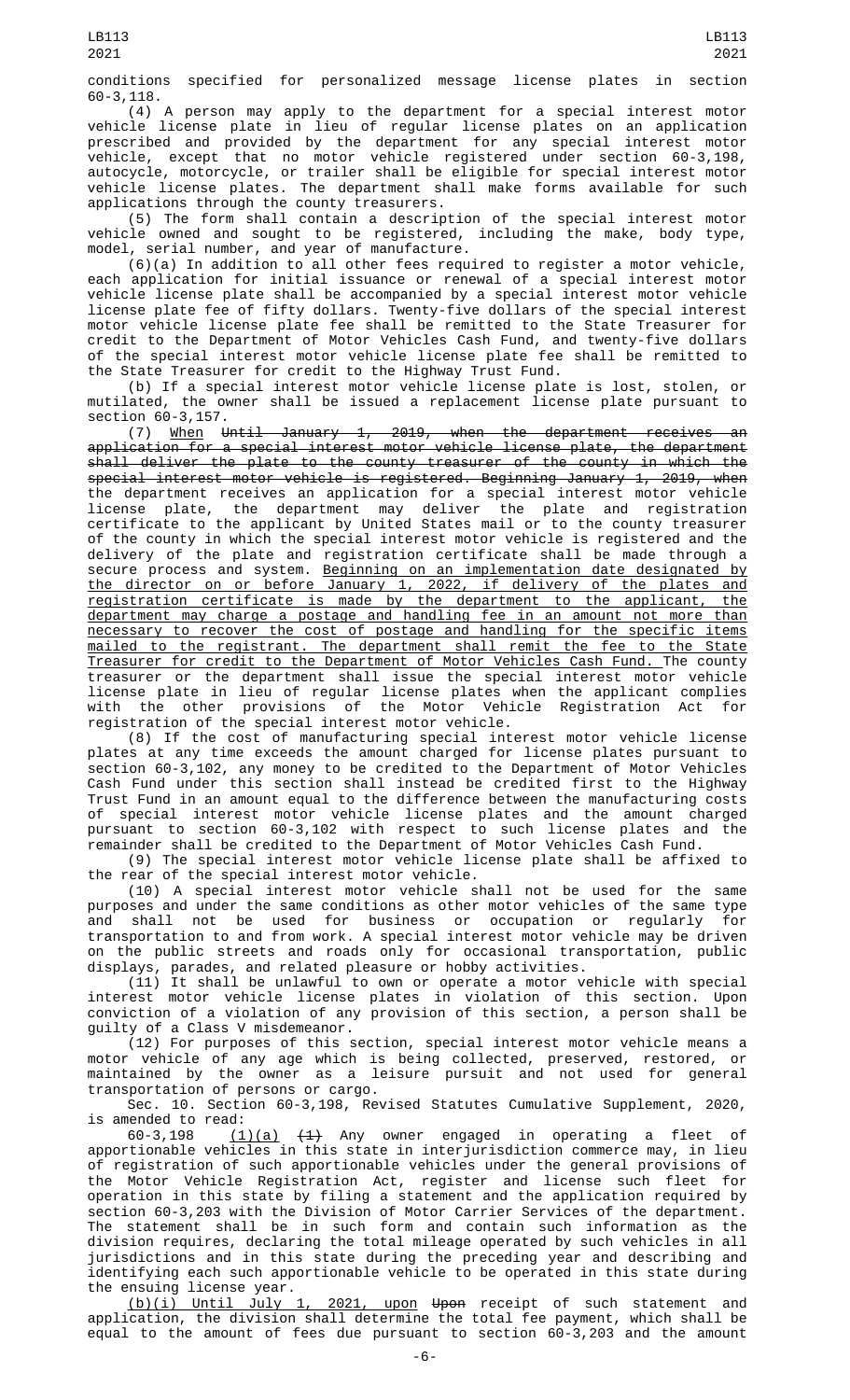conditions specified for personalized message license plates in section 60-3,118.

(4) A person may apply to the department for a special interest motor vehicle license plate in lieu of regular license plates on an application prescribed and provided by the department for any special interest motor vehicle, except that no motor vehicle registered under section 60-3,198, autocycle, motorcycle, or trailer shall be eligible for special interest motor vehicle license plates. The department shall make forms available for such applications through the county treasurers.

(5) The form shall contain a description of the special interest motor vehicle owned and sought to be registered, including the make, body type, model, serial number, and year of manufacture.

(6)(a) In addition to all other fees required to register a motor vehicle, each application for initial issuance or renewal of a special interest motor vehicle license plate shall be accompanied by a special interest motor vehicle license plate fee of fifty dollars. Twenty-five dollars of the special interest motor vehicle license plate fee shall be remitted to the State Treasurer for credit to the Department of Motor Vehicles Cash Fund, and twenty-five dollars of the special interest motor vehicle license plate fee shall be remitted to the State Treasurer for credit to the Highway Trust Fund.

(b) If a special interest motor vehicle license plate is lost, stolen, or mutilated, the owner shall be issued a replacement license plate pursuant to section 60-3,157.

(7) When Until January 1, 2019, when the department receives an application for a special interest motor vehicle license plate, the department shall deliver the plate to the county treasurer of the county in which the special interest motor vehicle is registered. Beginning January 1, 2019, when the department receives an application for a special interest motor vehicle license plate, the department may deliver the plate and registration certificate to the applicant by United States mail or to the county treasurer of the county in which the special interest motor vehicle is registered and the delivery of the plate and registration certificate shall be made through a secure process and system. <u>Beginning on an implementation date designated by</u> the director on or before January 1, 2022, if delivery of the plates and registration certificate is made by the department to the applicant, the department may charge a postage and handling fee in an amount not more than necessary to recover the cost of postage and handling for the specific items mailed to the registrant. The department shall remit the fee to the State Treasurer for credit to the Department of Motor Vehicles Cash Fund. The county treasurer or the department shall issue the special interest motor vehicle license plate in lieu of regular license plates when the applicant complies with the other provisions of the Motor Vehicle Registration Act for registration of the special interest motor vehicle.

(8) If the cost of manufacturing special interest motor vehicle license plates at any time exceeds the amount charged for license plates pursuant to section 60-3,102, any money to be credited to the Department of Motor Vehicles Cash Fund under this section shall instead be credited first to the Highway Trust Fund in an amount equal to the difference between the manufacturing costs of special interest motor vehicle license plates and the amount charged pursuant to section 60-3,102 with respect to such license plates and the remainder shall be credited to the Department of Motor Vehicles Cash Fund.

(9) The special interest motor vehicle license plate shall be affixed to the rear of the special interest motor vehicle.

(10) A special interest motor vehicle shall not be used for the same purposes and under the same conditions as other motor vehicles of the same type and shall not be used for business or occupation or regularly for transportation to and from work. A special interest motor vehicle may be driven on the public streets and roads only for occasional transportation, public displays, parades, and related pleasure or hobby activities.

(11) It shall be unlawful to own or operate a motor vehicle with special interest motor vehicle license plates in violation of this section. Upon conviction of a violation of any provision of this section, a person shall be guilty of a Class V misdemeanor.

(12) For purposes of this section, special interest motor vehicle means a motor vehicle of any age which is being collected, preserved, restored, or maintained by the owner as a leisure pursuit and not used for general transportation of persons or cargo.

Sec. 10. Section 60-3,198, Revised Statutes Cumulative Supplement, 2020, is amended to read:<br>60-3,198 (1

 $(1)(a)$   $(4)$  Any owner engaged in operating a fleet of apportionable vehicles in this state in interjurisdiction commerce may, in lieu of registration of such apportionable vehicles under the general provisions of the Motor Vehicle Registration Act, register and license such fleet for operation in this state by filing a statement and the application required by section 60-3,203 with the Division of Motor Carrier Services of the department. The statement shall be in such form and contain such information as the division requires, declaring the total mileage operated by such vehicles in all jurisdictions and in this state during the preceding year and describing and identifying each such apportionable vehicle to be operated in this state during

the ensuing license year.<br> $(b)(i)$  Until July 1, 2021, upon Upon receipt of such statement and application, the division shall determine the total fee payment, which shall be equal to the amount of fees due pursuant to section 60-3,203 and the amount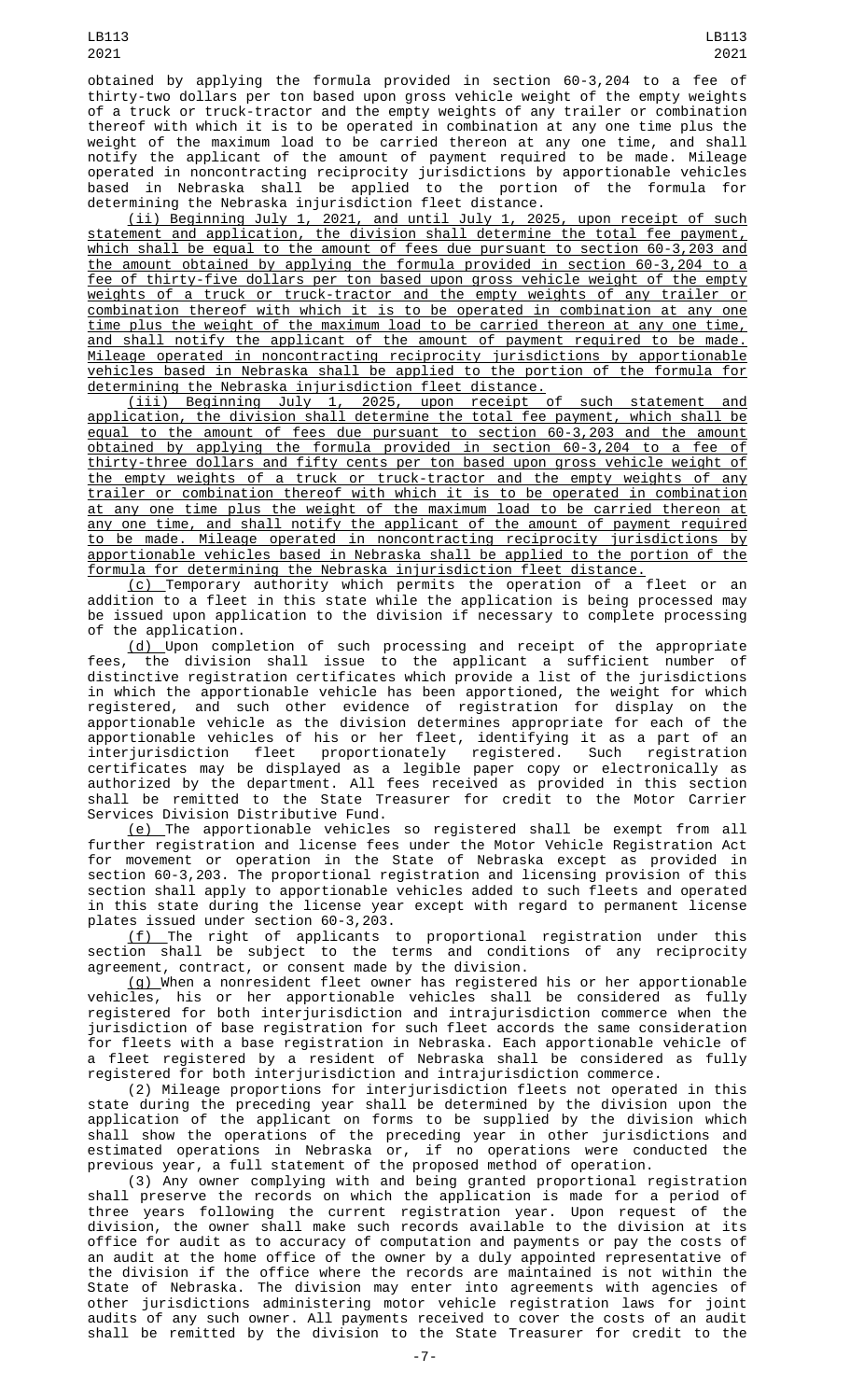obtained by applying the formula provided in section 60-3,204 to a fee of thirty-two dollars per ton based upon gross vehicle weight of the empty weights of a truck or truck-tractor and the empty weights of any trailer or combination thereof with which it is to be operated in combination at any one time plus the weight of the maximum load to be carried thereon at any one time, and shall notify the applicant of the amount of payment required to be made. Mileage operated in noncontracting reciprocity jurisdictions by apportionable vehicles based in Nebraska shall be applied to the portion of the formula for determining the Nebraska injurisdiction fleet distance.

(ii) Beginning July 1, 2021, and until July 1, 2025, upon receipt of such statement and application, the division shall determine the total fee payment, which shall be equal to the amount of fees due pursuant to section 60-3,203 and the amount obtained by applying the formula provided in section 60-3,204 to a fee of thirty-five dollars per ton based upon gross vehicle weight of the empty weights of a truck or truck-tractor and the empty weights of any trailer or combination thereof with which it is to be operated in combination at any one time plus the weight of the maximum load to be carried thereon at any one time, and shall notify the applicant of the amount of payment required to be made. Mileage operated in noncontracting reciprocity jurisdictions by apportionable vehicles based in Nebraska shall be applied to the portion of the formula for determining the Nebraska injurisdiction fleet distance.

(iii) Beginning July 1, 2025, upon receipt of such statement and application, the division shall determine the total fee payment, which shall be equal to the amount of fees due pursuant to section 60-3,203 and the amount obtained by applying the formula provided in section 60-3,204 to a fee of thirty-three dollars and fifty cents per ton based upon gross vehicle weight of the empty weights of a truck or truck-tractor and the empty weights of any trailer or combination thereof with which it is to be operated in combination at any one time plus the weight of the maximum load to be carried thereon at any one time, and shall notify the applicant of the amount of payment required to be made. Mileage operated in noncontracting reciprocity jurisdictions by apportionable vehicles based in Nebraska shall be applied to the portion of the formula for determining the Nebraska injurisdiction fleet distance.

<u>(c) </u>Temporary authority which permits the operation of a fleet or an addition to a fleet in this state while the application is being processed may be issued upon application to the division if necessary to complete processing of the application.

(d) Upon completion of such processing and receipt of the appropriate fees, the division shall issue to the applicant a sufficient number of distinctive registration certificates which provide a list of the jurisdictions in which the apportionable vehicle has been apportioned, the weight for which registered, and such other evidence of registration for display on the apportionable vehicle as the division determines appropriate for each of the apportionable vehicles of his or her fleet, identifying it as a part of an interjurisdiction fleet proportionately registered. Such registration certificates may be displayed as a legible paper copy or electronically as authorized by the department. All fees received as provided in this section shall be remitted to the State Treasurer for credit to the Motor Carrier Services Division Distributive Fund.

(e) The apportionable vehicles so registered shall be exempt from all further registration and license fees under the Motor Vehicle Registration Act for movement or operation in the State of Nebraska except as provided in section 60-3,203. The proportional registration and licensing provision of this section shall apply to apportionable vehicles added to such fleets and operated in this state during the license year except with regard to permanent license plates issued under section 60-3,203.

(f) The right of applicants to proportional registration under this section shall be subject to the terms and conditions of any reciprocity agreement, contract, or consent made by the division.

(g) When a nonresident fleet owner has registered his or her apportionable vehicles, his or her apportionable vehicles shall be considered as fully registered for both interjurisdiction and intrajurisdiction commerce when the jurisdiction of base registration for such fleet accords the same consideration for fleets with a base registration in Nebraska. Each apportionable vehicle of a fleet registered by a resident of Nebraska shall be considered as fully registered for both interjurisdiction and intrajurisdiction commerce.

(2) Mileage proportions for interjurisdiction fleets not operated in this state during the preceding year shall be determined by the division upon the application of the applicant on forms to be supplied by the division which shall show the operations of the preceding year in other jurisdictions and estimated operations in Nebraska or, if no operations were conducted the previous year, a full statement of the proposed method of operation.

(3) Any owner complying with and being granted proportional registration shall preserve the records on which the application is made for a period of three years following the current registration year. Upon request of the division, the owner shall make such records available to the division at its office for audit as to accuracy of computation and payments or pay the costs of an audit at the home office of the owner by a duly appointed representative of the division if the office where the records are maintained is not within the State of Nebraska. The division may enter into agreements with agencies of other jurisdictions administering motor vehicle registration laws for joint audits of any such owner. All payments received to cover the costs of an audit shall be remitted by the division to the State Treasurer for credit to the

LB113 2021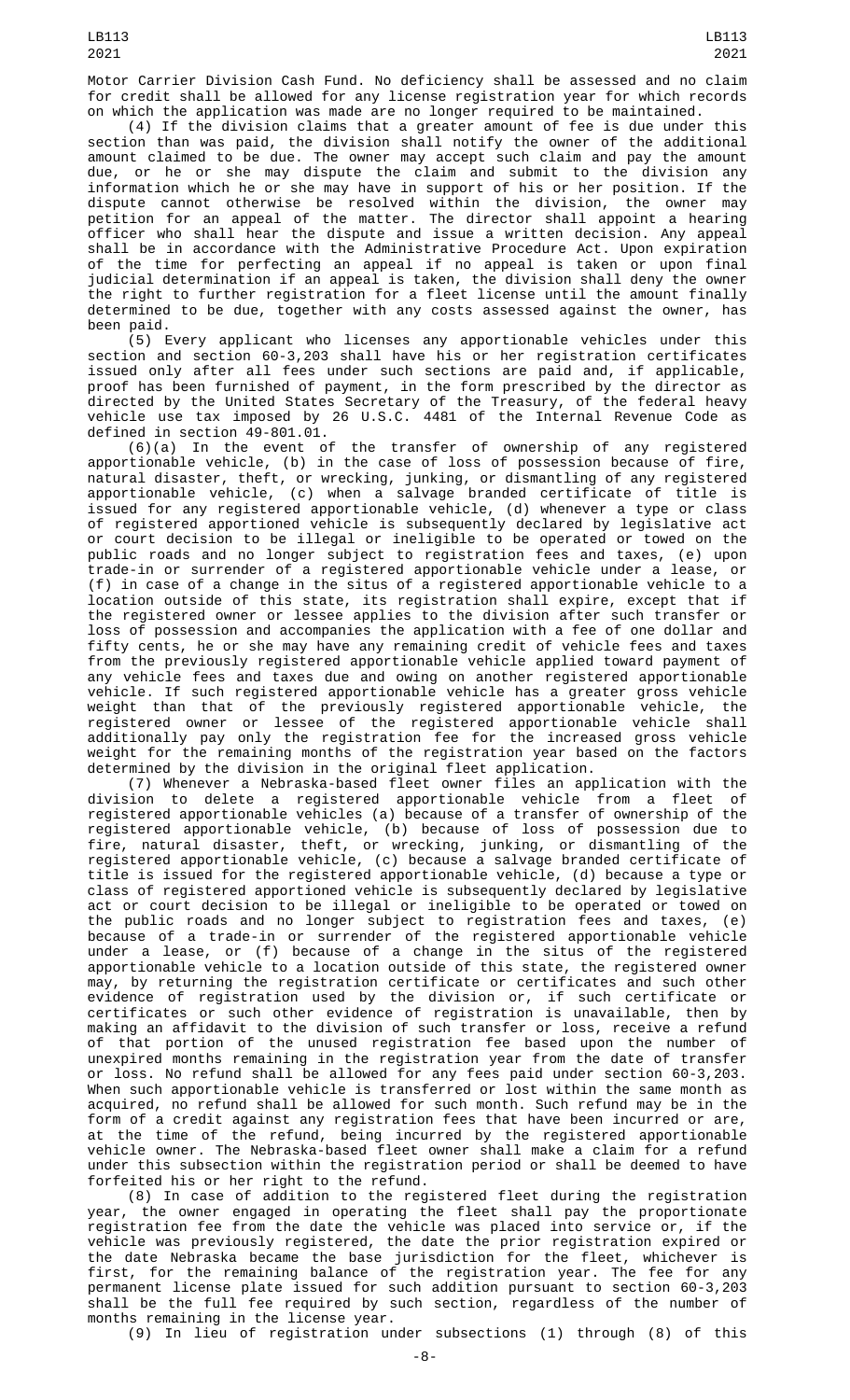(4) If the division claims that a greater amount of fee is due under this section than was paid, the division shall notify the owner of the additional amount claimed to be due. The owner may accept such claim and pay the amount due, or he or she may dispute the claim and submit to the division any information which he or she may have in support of his or her position. If the dispute cannot otherwise be resolved within the division, the owner may petition for an appeal of the matter. The director shall appoint a hearing officer who shall hear the dispute and issue a written decision. Any appeal shall be in accordance with the Administrative Procedure Act. Upon expiration of the time for perfecting an appeal if no appeal is taken or upon final judicial determination if an appeal is taken, the division shall deny the owner the right to further registration for a fleet license until the amount finally determined to be due, together with any costs assessed against the owner, has been paid.

(5) Every applicant who licenses any apportionable vehicles under this section and section 60-3,203 shall have his or her registration certificates issued only after all fees under such sections are paid and, if applicable, proof has been furnished of payment, in the form prescribed by the director as directed by the United States Secretary of the Treasury, of the federal heavy vehicle use tax imposed by 26 U.S.C. 4481 of the Internal Revenue Code as defined in section 49-801.01.

(6)(a) In the event of the transfer of ownership of any registered apportionable vehicle, (b) in the case of loss of possession because of fire, natural disaster, theft, or wrecking, junking, or dismantling of any registered apportionable vehicle, (c) when a salvage branded certificate of title is issued for any registered apportionable vehicle, (d) whenever a type or class of registered apportioned vehicle is subsequently declared by legislative act or court decision to be illegal or ineligible to be operated or towed on the public roads and no longer subject to registration fees and taxes, (e) upon trade-in or surrender of a registered apportionable vehicle under a lease, or (f) in case of a change in the situs of a registered apportionable vehicle to a location outside of this state, its registration shall expire, except that if the registered owner or lessee applies to the division after such transfer or loss of possession and accompanies the application with a fee of one dollar and fifty cents, he or she may have any remaining credit of vehicle fees and taxes from the previously registered apportionable vehicle applied toward payment of any vehicle fees and taxes due and owing on another registered apportionable vehicle. If such registered apportionable vehicle has a greater gross vehicle weight than that of the previously registered apportionable vehicle, the registered owner or lessee of the registered apportionable vehicle shall additionally pay only the registration fee for the increased gross vehicle weight for the remaining months of the registration year based on the factors determined by the division in the original fleet application.

(7) Whenever a Nebraska-based fleet owner files an application with the division to delete a registered apportionable vehicle from a fleet of registered apportionable vehicles (a) because of a transfer of ownership of the registered apportionable vehicle, (b) because of loss of possession due to fire, natural disaster, theft, or wrecking, junking, or dismantling of the registered apportionable vehicle, (c) because a salvage branded certificate of title is issued for the registered apportionable vehicle, (d) because a type or class of registered apportioned vehicle is subsequently declared by legislative act or court decision to be illegal or ineligible to be operated or towed on the public roads and no longer subject to registration fees and taxes, (e) because of a trade-in or surrender of the registered apportionable vehicle under a lease, or (f) because of a change in the situs of the registered apportionable vehicle to a location outside of this state, the registered owner may, by returning the registration certificate or certificates and such other evidence of registration used by the division or, if such certificate or certificates or such other evidence of registration is unavailable, then by making an affidavit to the division of such transfer or loss, receive a refund of that portion of the unused registration fee based upon the number of unexpired months remaining in the registration year from the date of transfer or loss. No refund shall be allowed for any fees paid under section 60-3,203. When such apportionable vehicle is transferred or lost within the same month as acquired, no refund shall be allowed for such month. Such refund may be in the form of a credit against any registration fees that have been incurred or are, at the time of the refund, being incurred by the registered apportionable vehicle owner. The Nebraska-based fleet owner shall make a claim for a refund under this subsection within the registration period or shall be deemed to have forfeited his or her right to the refund.

(8) In case of addition to the registered fleet during the registration year, the owner engaged in operating the fleet shall pay the proportionate registration fee from the date the vehicle was placed into service or, if the vehicle was previously registered, the date the prior registration expired or the date Nebraska became the base jurisdiction for the fleet, whichever is first, for the remaining balance of the registration year. The fee for any permanent license plate issued for such addition pursuant to section 60-3,203 shall be the full fee required by such section, regardless of the number of months remaining in the license year.

(9) In lieu of registration under subsections (1) through (8) of this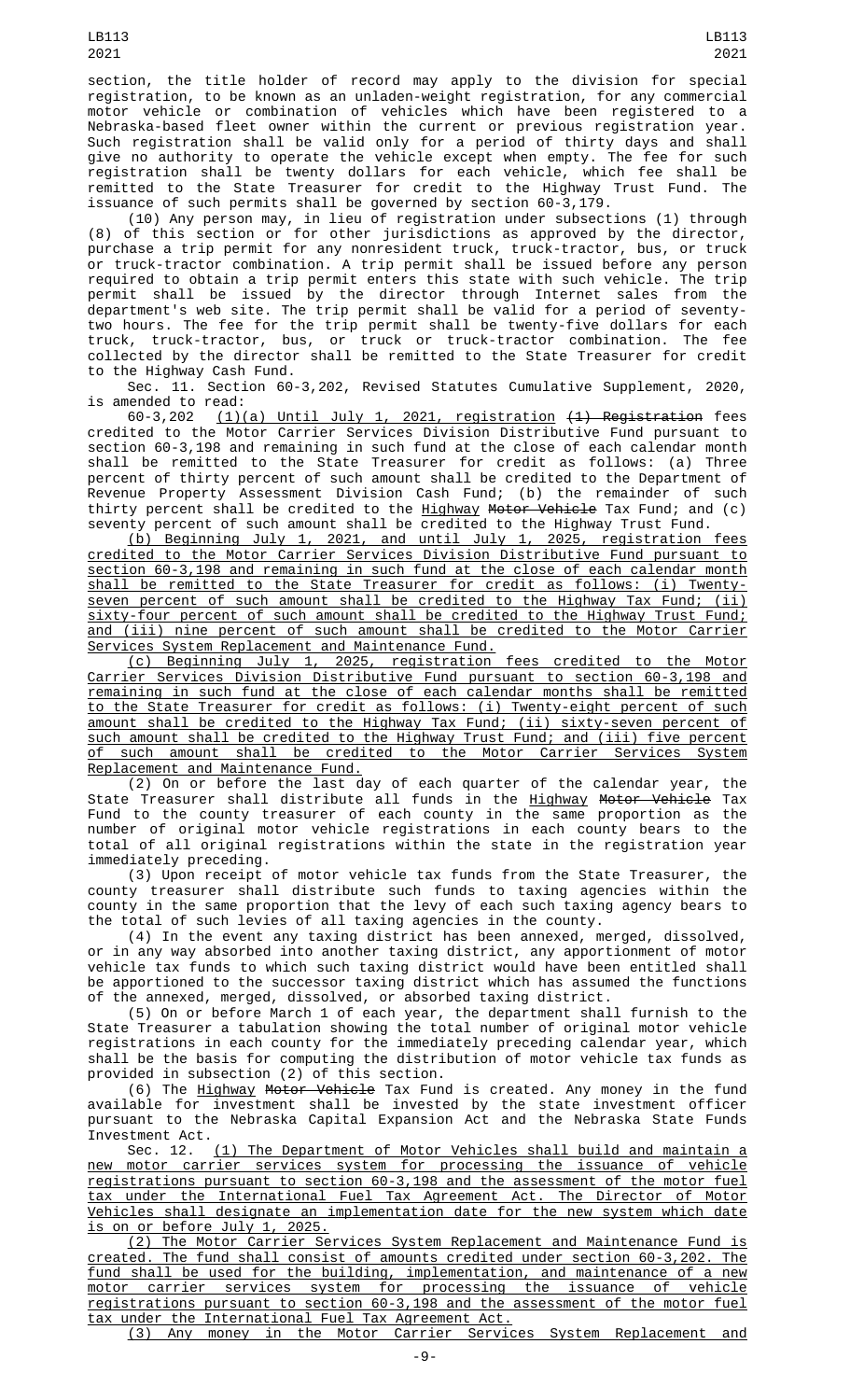section, the title holder of record may apply to the division for special registration, to be known as an unladen-weight registration, for any commercial motor vehicle or combination of vehicles which have been registered to a Nebraska-based fleet owner within the current or previous registration year. Such registration shall be valid only for a period of thirty days and shall give no authority to operate the vehicle except when empty. The fee for such registration shall be twenty dollars for each vehicle, which fee shall be remitted to the State Treasurer for credit to the Highway Trust Fund. The issuance of such permits shall be governed by section 60-3,179.

(10) Any person may, in lieu of registration under subsections (1) through (8) of this section or for other jurisdictions as approved by the director, purchase a trip permit for any nonresident truck, truck-tractor, bus, or truck or truck-tractor combination. A trip permit shall be issued before any person required to obtain a trip permit enters this state with such vehicle. The trip permit shall be issued by the director through Internet sales from the department's web site. The trip permit shall be valid for a period of seventytwo hours. The fee for the trip permit shall be twenty-five dollars for each truck, truck-tractor, bus, or truck or truck-tractor combination. The fee collected by the director shall be remitted to the State Treasurer for credit to the Highway Cash Fund.

Sec. 11. Section 60-3,202, Revised Statutes Cumulative Supplement, 2020,

is amended to read:<br> $60-3,202 \qquad (1)$  $(1)(a)$  Until July 1, 2021, registration  $(1)$  Registration fees credited to the Motor Carrier Services Division Distributive Fund pursuant to section 60-3,198 and remaining in such fund at the close of each calendar month shall be remitted to the State Treasurer for credit as follows: (a) Three percent of thirty percent of such amount shall be credited to the Department of Revenue Property Assessment Division Cash Fund; (b) the remainder of such thirty percent shall be credited to the Highway Motor Vehicle Tax Fund; and (c) seventy percent of such amount shall be credited to the Highway Trust Fund.<br>(b) Beginning July 1, 2021, and until July 1, 2025, registration fees

 $(b)$  Beginning July 1, 2021, and until July 1, credited to the Motor Carrier Services Division Distributive Fund pursuant to section 60-3,198 and remaining in such fund at the close of each calendar month shall be remitted to the State Treasurer for credit as follows: (i) Twentyseven percent of such amount shall be credited to the Highway Tax Fund; (ii) sixty-four percent of such amount shall be credited to the Highway Trust Fund; and (iii) nine percent of such amount shall be credited to the Motor Carrier Services System Replacement and Maintenance Fund.

(c) Beginning July 1, 2025, registration fees credited to the Motor Carrier Services Division Distributive Fund pursuant to section 60-3,198 and remaining in such fund at the close of each calendar months shall be remitted to the State Treasurer for credit as follows: (i) Twenty-eight percent of such amount shall be credited to the Highway Tax Fund; (ii) sixty-seven percent of such amount shall be credited to the Highway Trust Fund; and (iii) five percent of such amount shall be credited to the Motor Carrier Services System Replacement and Maintenance Fund.

(2) On or before the last day of each quarter of the calendar year, the State Treasurer shall distribute all funds in the <u>Highway</u> <del>Motor Vehicle</del> Tax Fund to the county treasurer of each county in the same proportion as the number of original motor vehicle registrations in each county bears to the total of all original registrations within the state in the registration year immediately preceding.

(3) Upon receipt of motor vehicle tax funds from the State Treasurer, the county treasurer shall distribute such funds to taxing agencies within the county in the same proportion that the levy of each such taxing agency bears to the total of such levies of all taxing agencies in the county.

(4) In the event any taxing district has been annexed, merged, dissolved, or in any way absorbed into another taxing district, any apportionment of motor vehicle tax funds to which such taxing district would have been entitled shall be apportioned to the successor taxing district which has assumed the functions of the annexed, merged, dissolved, or absorbed taxing district.

(5) On or before March 1 of each year, the department shall furnish to the State Treasurer a tabulation showing the total number of original motor vehicle registrations in each county for the immediately preceding calendar year, which shall be the basis for computing the distribution of motor vehicle tax funds as provided in subsection (2) of this section.

(6) The <u>Highway</u> <del>Motor Vehicle</del> Tax Fund is created. Any money in the fund available for investment shall be invested by the state investment officer pursuant to the Nebraska Capital Expansion Act and the Nebraska State Funds Investment Act.

Sec. 12. (1) The Department of Motor Vehicles shall build and maintain a new motor carrier services system for processing the issuance of vehicle registrations pursuant to section 60-3,198 and the assessment of the motor fuel tax under the International Fuel Tax Agreement Act. The Director of Motor Vehicles shall designate an implementation date for the new system which date is on or before July 1, 2025.

(2) The Motor Carrier Services System Replacement and Maintenance Fund is created. The fund shall consist of amounts credited under section 60-3,202. The fund shall be used for the building, implementation, and maintenance of a new motor carrier services system for processing the issuance of vehicle registrations pursuant to section 60-3,198 and the assessment of the motor fuel tax under the International Fuel Tax Agreement Act.

(3) Any money in the Motor Carrier Services System Replacement and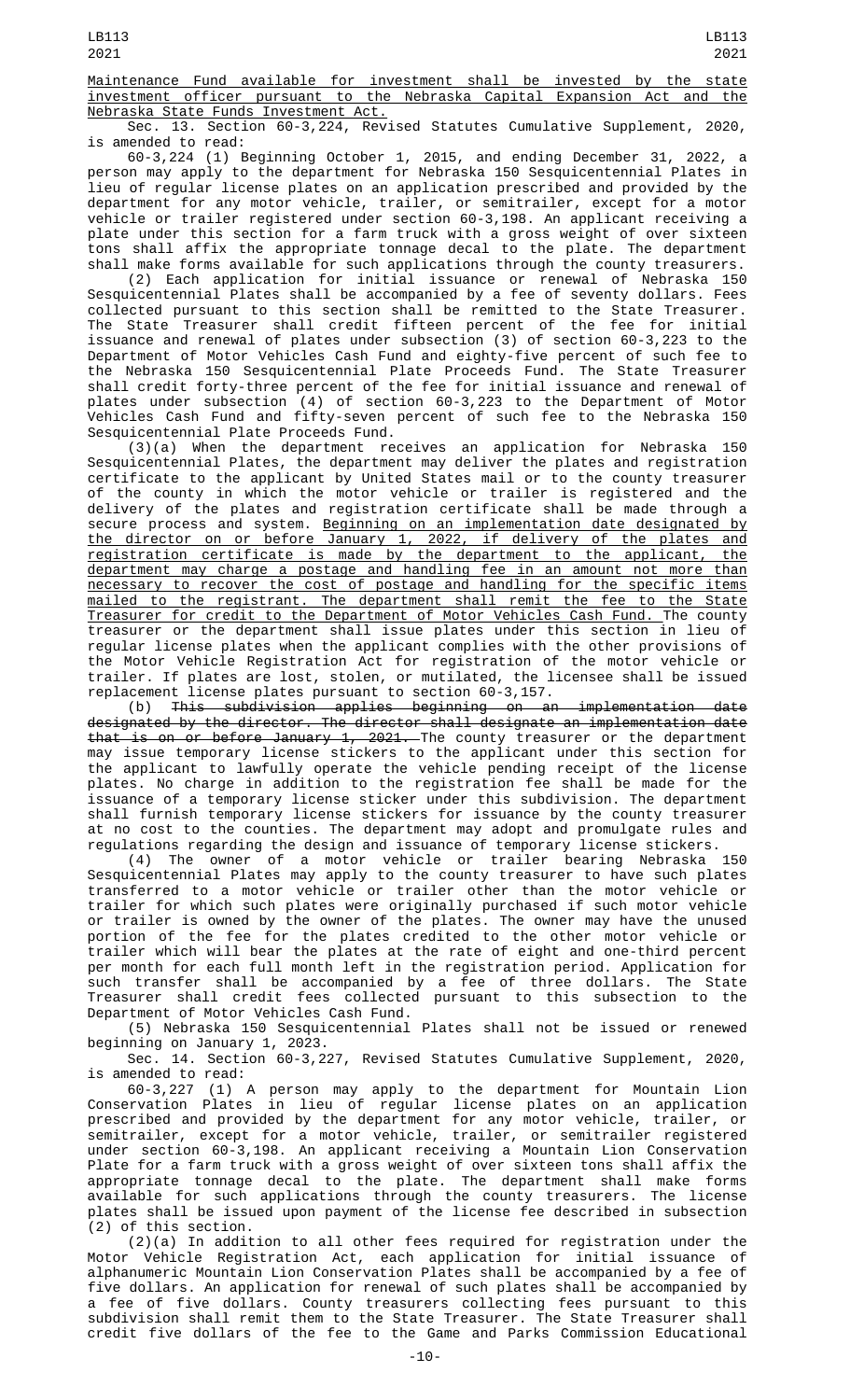Maintenance Fund available for investment shall be invested by the state investment officer pursuant to the Nebraska Capital Expansion Act and the Nebraska State Funds Investment Act.

Sec. 13. Section 60-3,224, Revised Statutes Cumulative Supplement, 2020, is amended to read:

60-3,224 (1) Beginning October 1, 2015, and ending December 31, 2022, a person may apply to the department for Nebraska 150 Sesquicentennial Plates in lieu of regular license plates on an application prescribed and provided by the department for any motor vehicle, trailer, or semitrailer, except for a motor vehicle or trailer registered under section 60-3,198. An applicant receiving a plate under this section for a farm truck with a gross weight of over sixteen tons shall affix the appropriate tonnage decal to the plate. The department shall make forms available for such applications through the county treasurers.

(2) Each application for initial issuance or renewal of Nebraska 150 Sesquicentennial Plates shall be accompanied by a fee of seventy dollars. Fees collected pursuant to this section shall be remitted to the State Treasurer. The State Treasurer shall credit fifteen percent of the fee for initial issuance and renewal of plates under subsection (3) of section 60-3,223 to the Department of Motor Vehicles Cash Fund and eighty-five percent of such fee to the Nebraska 150 Sesquicentennial Plate Proceeds Fund. The State Treasurer shall credit forty-three percent of the fee for initial issuance and renewal of plates under subsection (4) of section 60-3,223 to the Department of Motor Vehicles Cash Fund and fifty-seven percent of such fee to the Nebraska 150 Sesquicentennial Plate Proceeds Fund.

 $(3)(a)$  When the department receives an application for Nebraska Sesquicentennial Plates, the department may deliver the plates and registration certificate to the applicant by United States mail or to the county treasurer of the county in which the motor vehicle or trailer is registered and the delivery of the plates and registration certificate shall be made through a secure process and system. <u>Beginning on an implementation date designated by</u> the director on or before January 1, 2022, if delivery of the plates and registration certificate is made by the department to the applicant, the department may charge a postage and handling fee in an amount not more than necessary to recover the cost of postage and handling for the specific items mailed to the registrant. The department shall remit the fee to the State Treasurer for credit to the Department of Motor Vehicles Cash Fund. The county treasurer or the department shall issue plates under this section in lieu of regular license plates when the applicant complies with the other provisions of the Motor Vehicle Registration Act for registration of the motor vehicle or trailer. If plates are lost, stolen, or mutilated, the licensee shall be issued replacement license plates pursuant to section 60-3,157.

(b) This subdivision applies beginning on an implementation date designated by the director. The director shall designate an implementation date that is on or before January 1, 2021. The county treasurer or the department may issue temporary license stickers to the applicant under this section for the applicant to lawfully operate the vehicle pending receipt of the license plates. No charge in addition to the registration fee shall be made for the issuance of a temporary license sticker under this subdivision. The department shall furnish temporary license stickers for issuance by the county treasurer at no cost to the counties. The department may adopt and promulgate rules and regulations regarding the design and issuance of temporary license stickers.

(4) The owner of a motor vehicle or trailer bearing Nebraska 150 Sesquicentennial Plates may apply to the county treasurer to have such plates transferred to a motor vehicle or trailer other than the motor vehicle or trailer for which such plates were originally purchased if such motor vehicle or trailer is owned by the owner of the plates. The owner may have the unused portion of the fee for the plates credited to the other motor vehicle or trailer which will bear the plates at the rate of eight and one-third percent per month for each full month left in the registration period. Application for such transfer shall be accompanied by a fee of three dollars. The State Treasurer shall credit fees collected pursuant to this subsection to the Department of Motor Vehicles Cash Fund.

(5) Nebraska 150 Sesquicentennial Plates shall not be issued or renewed beginning on January 1, 2023.

Sec. 14. Section 60-3,227, Revised Statutes Cumulative Supplement, 2020, is amended to read:

60-3,227 (1) A person may apply to the department for Mountain Lion Conservation Plates in lieu of regular license plates on an application prescribed and provided by the department for any motor vehicle, trailer, or semitrailer, except for a motor vehicle, trailer, or semitrailer registered under section 60-3,198. An applicant receiving a Mountain Lion Conservation Plate for a farm truck with a gross weight of over sixteen tons shall affix the appropriate tonnage decal to the plate. The department shall make forms available for such applications through the county treasurers. The license plates shall be issued upon payment of the license fee described in subsection (2) of this section.

(2)(a) In addition to all other fees required for registration under the Motor Vehicle Registration Act, each application for initial issuance of alphanumeric Mountain Lion Conservation Plates shall be accompanied by a fee of five dollars. An application for renewal of such plates shall be accompanied by a fee of five dollars. County treasurers collecting fees pursuant to this subdivision shall remit them to the State Treasurer. The State Treasurer shall credit five dollars of the fee to the Game and Parks Commission Educational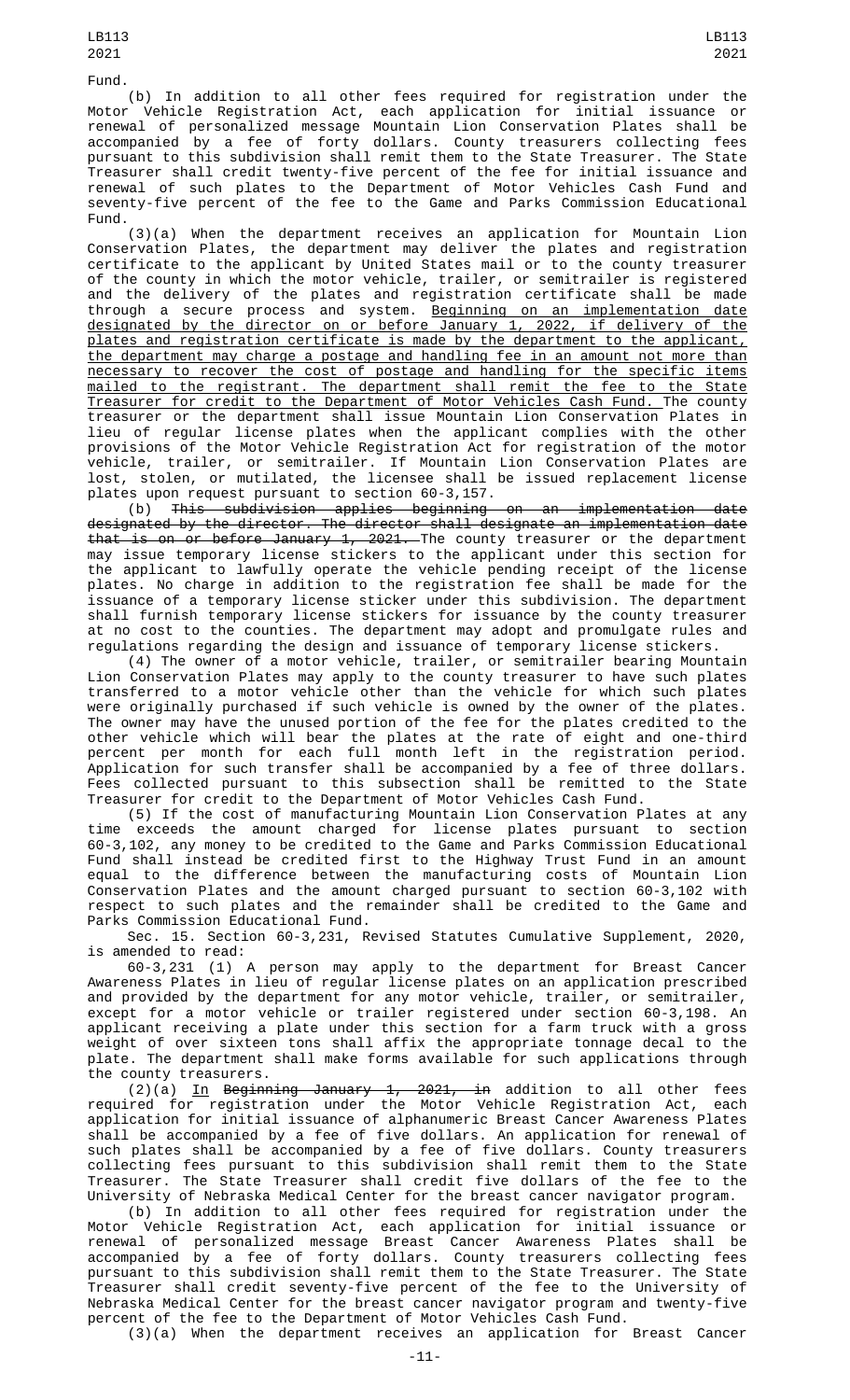(b) In addition to all other fees required for registration under the Motor Vehicle Registration Act, each application for initial issuance or renewal of personalized message Mountain Lion Conservation Plates shall be accompanied by a fee of forty dollars. County treasurers collecting fees pursuant to this subdivision shall remit them to the State Treasurer. The State Treasurer shall credit twenty-five percent of the fee for initial issuance and renewal of such plates to the Department of Motor Vehicles Cash Fund and seventy-five percent of the fee to the Game and Parks Commission Educational Fund.

(3)(a) When the department receives an application for Mountain Lion Conservation Plates, the department may deliver the plates and registration certificate to the applicant by United States mail or to the county treasurer of the county in which the motor vehicle, trailer, or semitrailer is registered and the delivery of the plates and registration certificate shall be made through a secure process and system. Beginning on an implementation date designated by the director on or before January 1, 2022, if delivery of the plates and registration certificate is made by the department to the applicant, the department may charge a postage and handling fee in an amount not more than necessary to recover the cost of postage and handling for the specific items mailed to the registrant. The department shall remit the fee to the State Treasurer for credit to the Department of Motor Vehicles Cash Fund. The county treasurer or the department shall issue Mountain Lion Conservation Plates in lieu of regular license plates when the applicant complies with the other provisions of the Motor Vehicle Registration Act for registration of the motor vehicle, trailer, or semitrailer. If Mountain Lion Conservation Plates are lost, stolen, or mutilated, the licensee shall be issued replacement license plates upon request pursuant to section 60-3,157.

(b) This subdivision applies beginning on an implementation date designated by the director. The director shall designate an implementation date that is on or before January 1, 2021. The county treasurer or the department may issue temporary license stickers to the applicant under this section for the applicant to lawfully operate the vehicle pending receipt of the license plates. No charge in addition to the registration fee shall be made for the issuance of a temporary license sticker under this subdivision. The department shall furnish temporary license stickers for issuance by the county treasurer at no cost to the counties. The department may adopt and promulgate rules and regulations regarding the design and issuance of temporary license stickers.

(4) The owner of a motor vehicle, trailer, or semitrailer bearing Mountain Lion Conservation Plates may apply to the county treasurer to have such plates transferred to a motor vehicle other than the vehicle for which such plates were originally purchased if such vehicle is owned by the owner of the plates. The owner may have the unused portion of the fee for the plates credited to the other vehicle which will bear the plates at the rate of eight and one-third percent per month for each full month left in the registration period. Application for such transfer shall be accompanied by a fee of three dollars. Fees collected pursuant to this subsection shall be remitted to the State Treasurer for credit to the Department of Motor Vehicles Cash Fund.

(5) If the cost of manufacturing Mountain Lion Conservation Plates at any time exceeds the amount charged for license plates pursuant to section 60-3,102, any money to be credited to the Game and Parks Commission Educational Fund shall instead be credited first to the Highway Trust Fund in an amount equal to the difference between the manufacturing costs of Mountain Lion Conservation Plates and the amount charged pursuant to section 60-3,102 with respect to such plates and the remainder shall be credited to the Game and Parks Commission Educational Fund.

Sec. 15. Section 60-3,231, Revised Statutes Cumulative Supplement, 2020, is amended to read:

60-3,231 (1) A person may apply to the department for Breast Cancer Awareness Plates in lieu of regular license plates on an application prescribed and provided by the department for any motor vehicle, trailer, or semitrailer, except for a motor vehicle or trailer registered under section 60-3,198. An applicant receiving a plate under this section for a farm truck with a gross weight of over sixteen tons shall affix the appropriate tonnage decal to the plate. The department shall make forms available for such applications through the county treasurers.

 $(2)(a)$  <u>In</u> Beginning January 1, 2021, in addition to all other fees required for registration under the Motor Vehicle Registration Act, each application for initial issuance of alphanumeric Breast Cancer Awareness Plates shall be accompanied by a fee of five dollars. An application for renewal of such plates shall be accompanied by a fee of five dollars. County treasurers collecting fees pursuant to this subdivision shall remit them to the State Treasurer. The State Treasurer shall credit five dollars of the fee to the University of Nebraska Medical Center for the breast cancer navigator program.

(b) In addition to all other fees required for registration under the Motor Vehicle Registration Act, each application for initial issuance or renewal of personalized message Breast Cancer Awareness Plates shall be accompanied by a fee of forty dollars. County treasurers collecting fees pursuant to this subdivision shall remit them to the State Treasurer. The State Treasurer shall credit seventy-five percent of the fee to the University of Nebraska Medical Center for the breast cancer navigator program and twenty-five percent of the fee to the Department of Motor Vehicles Cash Fund. (3)(a) When the department receives an application for Breast Cancer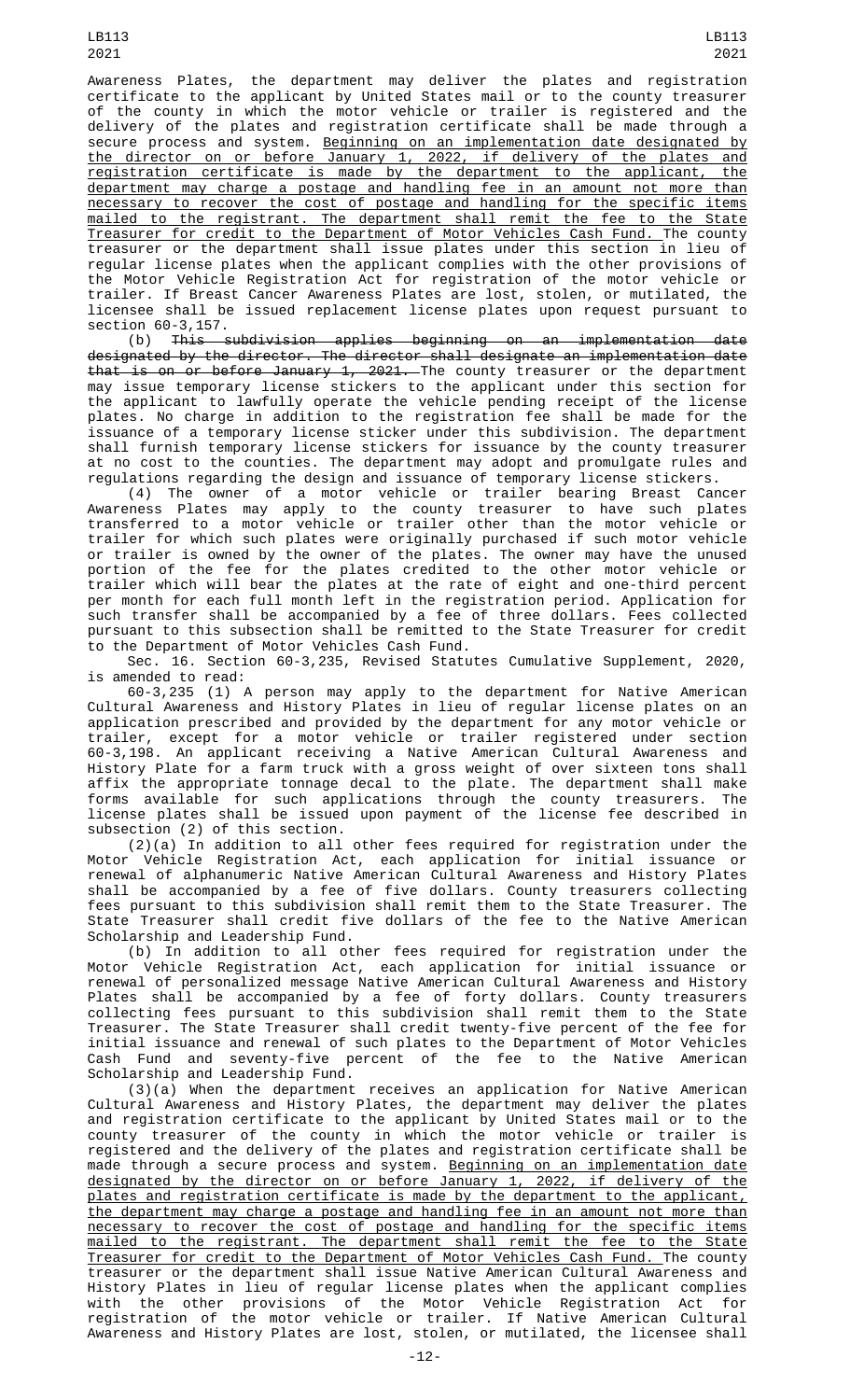LB113 2021

Awareness Plates, the department may deliver the plates and registration certificate to the applicant by United States mail or to the county treasurer of the county in which the motor vehicle or trailer is registered and the delivery of the plates and registration certificate shall be made through a secure process and system. Beginning on an implementation date designated by the director on or before January 1, 2022, if delivery of the plates and registration certificate is made by the department to the applicant, the department may charge a postage and handling fee in an amount not more than necessary to recover the cost of postage and handling for the specific items mailed to the registrant. The department shall remit the fee to the State Treasurer for credit to the Department of Motor Vehicles Cash Fund. The county treasurer or the department shall issue plates under this section in lieu of regular license plates when the applicant complies with the other provisions of the Motor Vehicle Registration Act for registration of the motor vehicle or trailer. If Breast Cancer Awareness Plates are lost, stolen, or mutilated, the licensee shall be issued replacement license plates upon request pursuant to section 60-3,157.

(b) This subdivision applies beginning on an implementation date designated by the director. The director shall designate an implementation date that is on or before January 1, 2021. The county treasurer or the department may issue temporary license stickers to the applicant under this section for the applicant to lawfully operate the vehicle pending receipt of the license plates. No charge in addition to the registration fee shall be made for the issuance of a temporary license sticker under this subdivision. The department shall furnish temporary license stickers for issuance by the county treasurer at no cost to the counties. The department may adopt and promulgate rules and regulations regarding the design and issuance of temporary license stickers.

(4) The owner of a motor vehicle or trailer bearing Breast Cancer Awareness Plates may apply to the county treasurer to have such plates transferred to a motor vehicle or trailer other than the motor vehicle or trailer for which such plates were originally purchased if such motor vehicle or trailer is owned by the owner of the plates. The owner may have the unused portion of the fee for the plates credited to the other motor vehicle or trailer which will bear the plates at the rate of eight and one-third percent per month for each full month left in the registration period. Application for such transfer shall be accompanied by a fee of three dollars. Fees collected pursuant to this subsection shall be remitted to the State Treasurer for credit to the Department of Motor Vehicles Cash Fund.

Sec. 16. Section 60-3,235, Revised Statutes Cumulative Supplement, 2020, is amended to read:

60-3,235 (1) A person may apply to the department for Native American Cultural Awareness and History Plates in lieu of regular license plates on an application prescribed and provided by the department for any motor vehicle or trailer, except for a motor vehicle or trailer registered under section 60-3,198. An applicant receiving a Native American Cultural Awareness and History Plate for a farm truck with a gross weight of over sixteen tons shall affix the appropriate tonnage decal to the plate. The department shall make forms available for such applications through the county treasurers. The license plates shall be issued upon payment of the license fee described in subsection (2) of this section.

 $(2)(a)$  In addition to all other fees required for registration under the Motor Vehicle Registration Act, each application for initial issuance or renewal of alphanumeric Native American Cultural Awareness and History Plates shall be accompanied by a fee of five dollars. County treasurers collecting fees pursuant to this subdivision shall remit them to the State Treasurer. The State Treasurer shall credit five dollars of the fee to the Native American Scholarship and Leadership Fund.

(b) In addition to all other fees required for registration under the Motor Vehicle Registration Act, each application for initial issuance or renewal of personalized message Native American Cultural Awareness and History Plates shall be accompanied by a fee of forty dollars. County treasurers collecting fees pursuant to this subdivision shall remit them to the State Treasurer. The State Treasurer shall credit twenty-five percent of the fee for initial issuance and renewal of such plates to the Department of Motor Vehicles Cash Fund and seventy-five percent of the fee to the Native American Scholarship and Leadership Fund.

(3)(a) When the department receives an application for Native American Cultural Awareness and History Plates, the department may deliver the plates<br>and registration certificate to the applicant by United States mail or to the and registration certificate to the applicant by United States mail or to the county treasurer of the county in which the motor vehicle or trailer registered and the delivery of the plates and registration certificate shall be made through a secure process and system. <u>Beginning on an implementation date</u> designated by the director on or before January 1, 2022, if delivery of the plates and registration certificate is made by the department to the applicant, the department may charge a postage and handling fee in an amount not more than necessary to recover the cost of postage and handling for the specific items mailed to the registrant. The department shall remit the fee to the State Treasurer for credit to the Department of Motor Vehicles Cash Fund. The county treasurer or the department shall issue Native American Cultural Awareness and History Plates in lieu of regular license plates when the applicant complies with the other provisions of the Motor Vehicle Registration Act for registration of the motor vehicle or trailer. If Native American Cultural Awareness and History Plates are lost, stolen, or mutilated, the licensee shall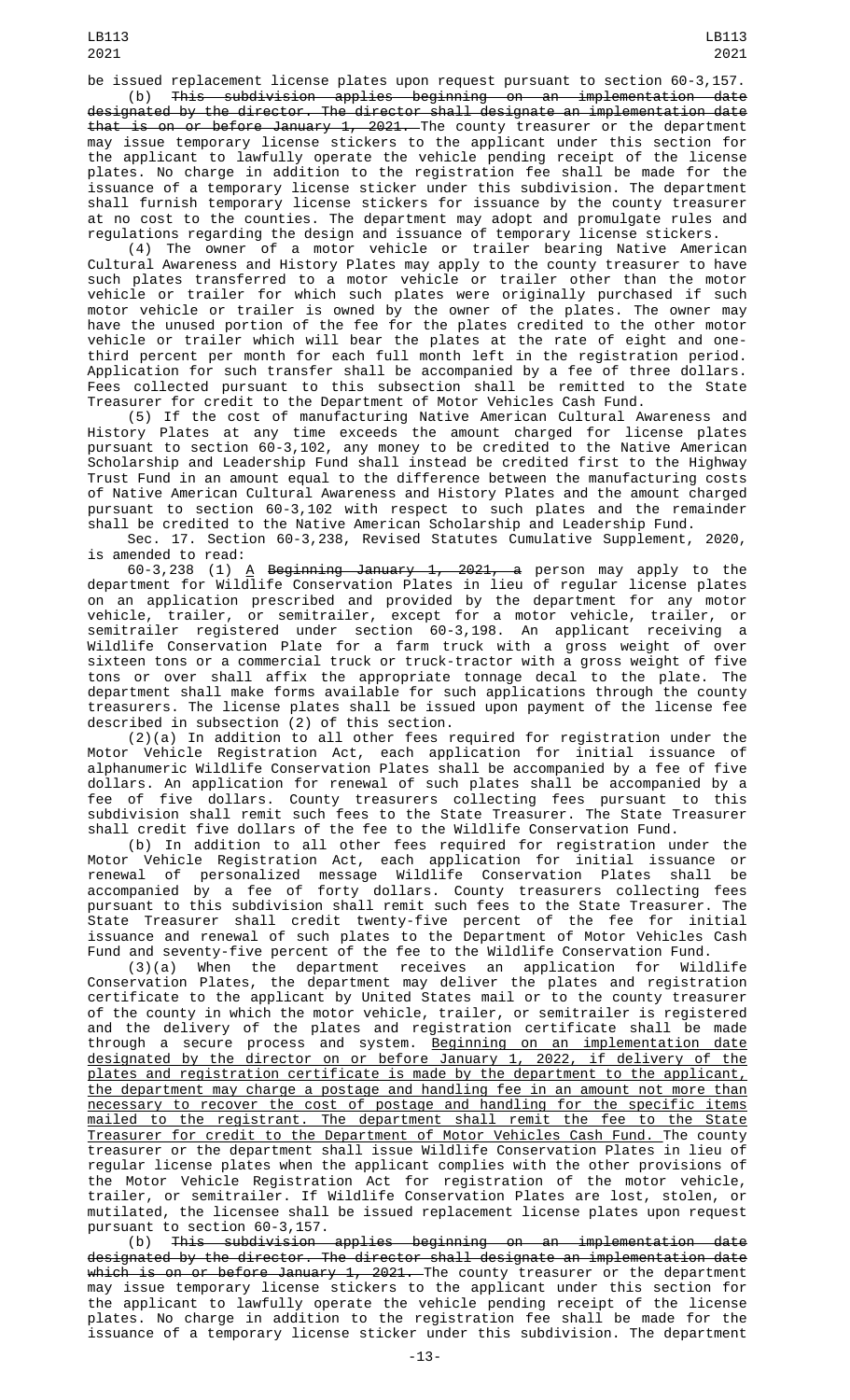be issued replacement license plates upon request pursuant to section 60-3,157. (b) This subdivision applies beginning on an implementation date

designated by the director. The director shall designate an implementation date that is on or before January 1, 2021. The county treasurer or the department may issue temporary license stickers to the applicant under this section for the applicant to lawfully operate the vehicle pending receipt of the license plates. No charge in addition to the registration fee shall be made for the issuance of a temporary license sticker under this subdivision. The department shall furnish temporary license stickers for issuance by the county treasurer at no cost to the counties. The department may adopt and promulgate rules and regulations regarding the design and issuance of temporary license stickers.

(4) The owner of a motor vehicle or trailer bearing Native American Cultural Awareness and History Plates may apply to the county treasurer to have such plates transferred to a motor vehicle or trailer other than the motor vehicle or trailer for which such plates were originally purchased if such motor vehicle or trailer is owned by the owner of the plates. The owner may have the unused portion of the fee for the plates credited to the other motor vehicle or trailer which will bear the plates at the rate of eight and onethird percent per month for each full month left in the registration period. Application for such transfer shall be accompanied by a fee of three dollars. Fees collected pursuant to this subsection shall be remitted to the State Treasurer for credit to the Department of Motor Vehicles Cash Fund.

(5) If the cost of manufacturing Native American Cultural Awareness and History Plates at any time exceeds the amount charged for license plates pursuant to section 60-3,102, any money to be credited to the Native American Scholarship and Leadership Fund shall instead be credited first to the Highway Trust Fund in an amount equal to the difference between the manufacturing costs of Native American Cultural Awareness and History Plates and the amount charged pursuant to section 60-3,102 with respect to such plates and the remainder shall be credited to the Native American Scholarship and Leadership Fund.

Sec. 17. Section 60-3,238, Revised Statutes Cumulative Supplement, 2020, is amended to read:

60-3,238 (1) <u>A</u> <del>Beginning January 1, 2021, a</del> person may apply to the department for Wildlife Conservation Plates in lieu of regular license plates on an application prescribed and provided by the department for any motor vehicle, trailer, or semitrailer, except for a motor vehicle, trailer, or semitrailer registered under section 60-3,198. An applicant receiving a Wildlife Conservation Plate for a farm truck with a gross weight of over sixteen tons or a commercial truck or truck-tractor with a gross weight of five tons or over shall affix the appropriate tonnage decal to the plate. The department shall make forms available for such applications through the county treasurers. The license plates shall be issued upon payment of the license fee described in subsection (2) of this section.

(2)(a) In addition to all other fees required for registration under the Motor Vehicle Registration Act, each application for initial issuance of alphanumeric Wildlife Conservation Plates shall be accompanied by a fee of five dollars. An application for renewal of such plates shall be accompanied by a fee of five dollars. County treasurers collecting fees pursuant to this subdivision shall remit such fees to the State Treasurer. The State Treasurer shall credit five dollars of the fee to the Wildlife Conservation Fund.

(b) In addition to all other fees required for registration under the Motor Vehicle Registration Act, each application for initial issuance or renewal of personalized message Wildlife Conservation Plates shall be accompanied by a fee of forty dollars. County treasurers collecting fees pursuant to this subdivision shall remit such fees to the State Treasurer. The State Treasurer shall credit twenty-five percent of the fee for initial issuance and renewal of such plates to the Department of Motor Vehicles Cash Fund and seventy-five percent of the fee to the Wildlife Conservation Fund.

(3)(a) When the department receives an application for Wildlife Conservation Plates, the department may deliver the plates and registration certificate to the applicant by United States mail or to the county treasurer of the county in which the motor vehicle, trailer, or semitrailer is registered and the delivery of the plates and registration certificate shall be made through a secure process and system. Beginning on an implementation date designated by the director on or before January 1, 2022, if delivery of the plates and registration certificate is made by the department to the applicant, the department may charge a postage and handling fee in an amount not more than necessary to recover the cost of postage and handling for the specific items mailed to the registrant. The department shall remit the fee to the State Treasurer for credit to the Department of Motor Vehicles Cash Fund. The county treasurer or the department shall issue Wildlife Conservation Plates in lieu of regular license plates when the applicant complies with the other provisions of the Motor Vehicle Registration Act for registration of the motor vehicle, trailer, or semitrailer. If Wildlife Conservation Plates are lost, stolen, or mutilated, the licensee shall be issued replacement license plates upon request pursuant to section 60-3,157.

(b) This subdivision applies beginning on an implementation date designated by the director. The director shall designate an implementation date which is on or before January 1, 2021. The county treasurer or the department may issue temporary license stickers to the applicant under this section for the applicant to lawfully operate the vehicle pending receipt of the license plates. No charge in addition to the registration fee shall be made for the issuance of a temporary license sticker under this subdivision. The department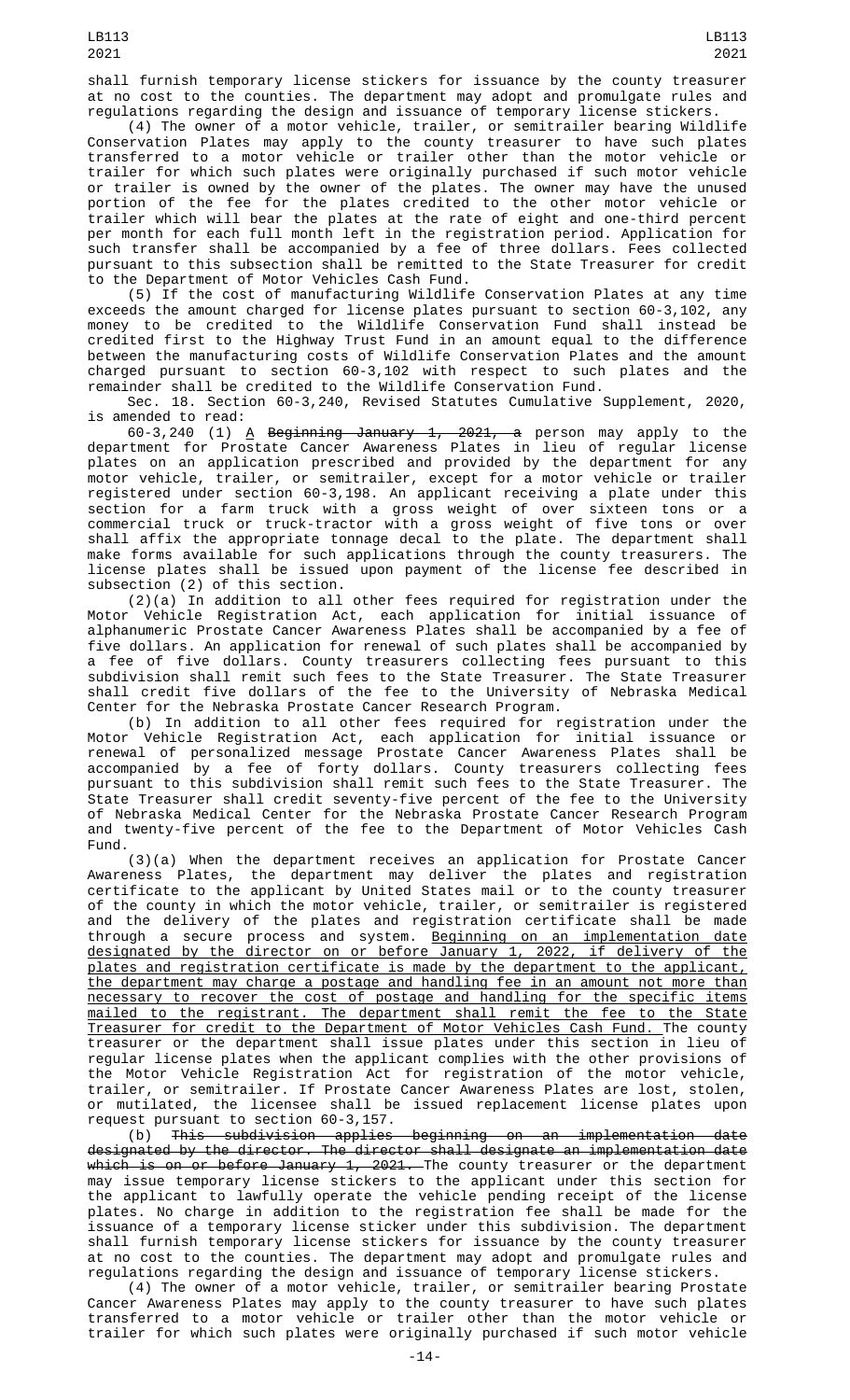(4) The owner of a motor vehicle, trailer, or semitrailer bearing Wildlife Conservation Plates may apply to the county treasurer to have such plates transferred to a motor vehicle or trailer other than the motor vehicle or trailer for which such plates were originally purchased if such motor vehicle or trailer is owned by the owner of the plates. The owner may have the unused portion of the fee for the plates credited to the other motor vehicle or trailer which will bear the plates at the rate of eight and one-third percent per month for each full month left in the registration period. Application for such transfer shall be accompanied by a fee of three dollars. Fees collected pursuant to this subsection shall be remitted to the State Treasurer for credit to the Department of Motor Vehicles Cash Fund.

(5) If the cost of manufacturing Wildlife Conservation Plates at any time exceeds the amount charged for license plates pursuant to section 60-3,102, any money to be credited to the Wildlife Conservation Fund shall instead be credited first to the Highway Trust Fund in an amount equal to the difference between the manufacturing costs of Wildlife Conservation Plates and the amount charged pursuant to section 60-3,102 with respect to such plates and the remainder shall be credited to the Wildlife Conservation Fund.

Sec. 18. Section 60-3,240, Revised Statutes Cumulative Supplement, 2020, is amended to read:

60-3,240 (1) <u>A</u> <del>Beginning January 1, 2021, a</del> person may apply to the department for Prostate Cancer Awareness Plates in lieu of regular license plates on an application prescribed and provided by the department for any motor vehicle, trailer, or semitrailer, except for a motor vehicle or trailer registered under section 60-3,198. An applicant receiving a plate under this section for a farm truck with a gross weight of over sixteen tons or a commercial truck or truck-tractor with a gross weight of five tons or over shall affix the appropriate tonnage decal to the plate. The department shall make forms available for such applications through the county treasurers. The license plates shall be issued upon payment of the license fee described in subsection (2) of this section.

(2)(a) In addition to all other fees required for registration under the Motor Vehicle Registration Act, each application for initial issuance of alphanumeric Prostate Cancer Awareness Plates shall be accompanied by a fee of five dollars. An application for renewal of such plates shall be accompanied by a fee of five dollars. County treasurers collecting fees pursuant to this subdivision shall remit such fees to the State Treasurer. The State Treasurer shall credit five dollars of the fee to the University of Nebraska Medical Center for the Nebraska Prostate Cancer Research Program.

(b) In addition to all other fees required for registration under the Motor Vehicle Registration Act, each application for initial issuance or renewal of personalized message Prostate Cancer Awareness Plates shall be accompanied by a fee of forty dollars. County treasurers collecting fees pursuant to this subdivision shall remit such fees to the State Treasurer. The State Treasurer shall credit seventy-five percent of the fee to the University of Nebraska Medical Center for the Nebraska Prostate Cancer Research Program and twenty-five percent of the fee to the Department of Motor Vehicles Cash Fund.

(3)(a) When the department receives an application for Prostate Cancer Awareness Plates, the department may deliver the plates and registration certificate to the applicant by United States mail or to the county treasurer of the county in which the motor vehicle, trailer, or semitrailer is registered and the delivery of the plates and registration certificate shall be made through a secure process and system. Beginning on an implementation date designated by the director on or before January 1, 2022, if delivery of the plates and registration certificate is made by the department to the applicant, the department may charge a postage and handling fee in an amount not more than necessary to recover the cost of postage and handling for the specific items mailed to the registrant. The department shall remit the fee to the State Treasurer for credit to the Department of Motor Vehicles Cash Fund. The county treasurer or the department shall issue plates under this section in lieu of regular license plates when the applicant complies with the other provisions of the Motor Vehicle Registration Act for registration of the motor vehicle, trailer, or semitrailer. If Prostate Cancer Awareness Plates are lost, stolen, or mutilated, the licensee shall be issued replacement license plates upon request pursuant to section 60-3,157.

(b) This subdivision applies beginning on an implementation date designated by the director. The director shall designate an implementation date <del>which is on or before January 1, 2021. </del>The county treasurer or the department may issue temporary license stickers to the applicant under this section for the applicant to lawfully operate the vehicle pending receipt of the license plates. No charge in addition to the registration fee shall be made for the issuance of a temporary license sticker under this subdivision. The department shall furnish temporary license stickers for issuance by the county treasurer at no cost to the counties. The department may adopt and promulgate rules and regulations regarding the design and issuance of temporary license stickers.

(4) The owner of a motor vehicle, trailer, or semitrailer bearing Prostate Cancer Awareness Plates may apply to the county treasurer to have such plates transferred to a motor vehicle or trailer other than the motor vehicle or trailer for which such plates were originally purchased if such motor vehicle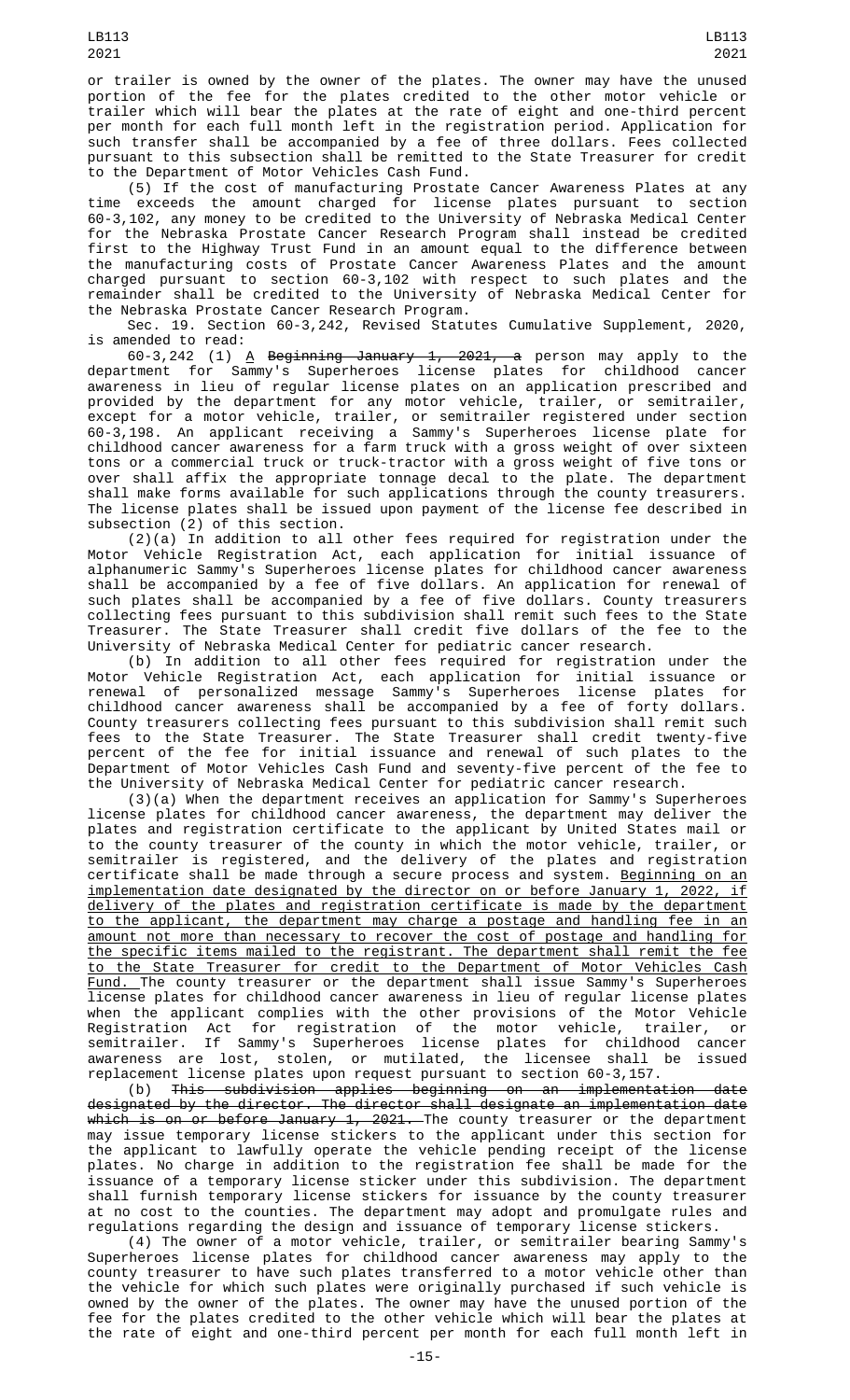or trailer is owned by the owner of the plates. The owner may have the unused portion of the fee for the plates credited to the other motor vehicle or trailer which will bear the plates at the rate of eight and one-third percent per month for each full month left in the registration period. Application for such transfer shall be accompanied by a fee of three dollars. Fees collected pursuant to this subsection shall be remitted to the State Treasurer for credit to the Department of Motor Vehicles Cash Fund.

(5) If the cost of manufacturing Prostate Cancer Awareness Plates at any time exceeds the amount charged for license plates pursuant to section 60-3,102, any money to be credited to the University of Nebraska Medical Center for the Nebraska Prostate Cancer Research Program shall instead be credited first to the Highway Trust Fund in an amount equal to the difference between the manufacturing costs of Prostate Cancer Awareness Plates and the amount charged pursuant to section 60-3,102 with respect to such plates and the remainder shall be credited to the University of Nebraska Medical Center for the Nebraska Prostate Cancer Research Program.

Sec. 19. Section 60-3,242, Revised Statutes Cumulative Supplement, 2020, is amended to read:

60-3,242 (1) <u>A</u> <del>Beginning January 1, 2021, a</del> person may apply to the department for Sammy's Superheroes license plates for childhood cancer awareness in lieu of regular license plates on an application prescribed and provided by the department for any motor vehicle, trailer, or semitrailer, except for a motor vehicle, trailer, or semitrailer registered under section 60-3,198. An applicant receiving a Sammy's Superheroes license plate for childhood cancer awareness for a farm truck with a gross weight of over sixteen tons or a commercial truck or truck-tractor with a gross weight of five tons or over shall affix the appropriate tonnage decal to the plate. The department shall make forms available for such applications through the county treasurers. The license plates shall be issued upon payment of the license fee described in subsection (2) of this section.

(2)(a) In addition to all other fees required for registration under the Motor Vehicle Registration Act, each application for initial issuance of alphanumeric Sammy's Superheroes license plates for childhood cancer awareness shall be accompanied by a fee of five dollars. An application for renewal of such plates shall be accompanied by a fee of five dollars. County treasurers collecting fees pursuant to this subdivision shall remit such fees to the State Treasurer. The State Treasurer shall credit five dollars of the fee to the University of Nebraska Medical Center for pediatric cancer research.

(b) In addition to all other fees required for registration under the Motor Vehicle Registration Act, each application for initial issuance or renewal of personalized message Sammy's Superheroes license plates for childhood cancer awareness shall be accompanied by a fee of forty dollars. County treasurers collecting fees pursuant to this subdivision shall remit such fees to the State Treasurer. The State Treasurer shall credit twenty-five percent of the fee for initial issuance and renewal of such plates to the Department of Motor Vehicles Cash Fund and seventy-five percent of the fee to the University of Nebraska Medical Center for pediatric cancer research.

(3)(a) When the department receives an application for Sammy's Superheroes license plates for childhood cancer awareness, the department may deliver the plates and registration certificate to the applicant by United States mail or to the county treasurer of the county in which the motor vehicle, trailer, or semitrailer is registered, and the delivery of the plates and registration certificate shall be made through a secure process and system. <u>Beginning on an</u> implementation date designated by the director on or before January 1, 2022, if delivery of the plates and registration certificate is made by the department to the applicant, the department may charge a postage and handling fee in an amount not more than necessary to recover the cost of postage and handling for the specific items mailed to the registrant. The department shall remit the fee to the State Treasurer for credit to the Department of Motor Vehicles Cash Fund. The county treasurer or the department shall issue Sammy's Superheroes license plates for childhood cancer awareness in lieu of regular license plates when the applicant complies with the other provisions of the Motor Vehicle Registration Act for registration of the motor vehicle, trailer, or semitrailer. If Sammy's Superheroes license plates for childhood cancer awareness are lost, stolen, or mutilated, the licensee shall be issued replacement license plates upon request pursuant to section 60-3,157.

(b) This subdivision applies beginning on an implementation date designated by the director. The director shall designate an implementation date <del>which is on or before January 1, 2021. </del>The county treasurer or the department may issue temporary license stickers to the applicant under this section for the applicant to lawfully operate the vehicle pending receipt of the license plates. No charge in addition to the registration fee shall be made for the issuance of a temporary license sticker under this subdivision. The department shall furnish temporary license stickers for issuance by the county treasurer at no cost to the counties. The department may adopt and promulgate rules and regulations regarding the design and issuance of temporary license stickers.

(4) The owner of a motor vehicle, trailer, or semitrailer bearing Sammy's Superheroes license plates for childhood cancer awareness may apply to the county treasurer to have such plates transferred to a motor vehicle other than the vehicle for which such plates were originally purchased if such vehicle is owned by the owner of the plates. The owner may have the unused portion of the fee for the plates credited to the other vehicle which will bear the plates at the rate of eight and one-third percent per month for each full month left in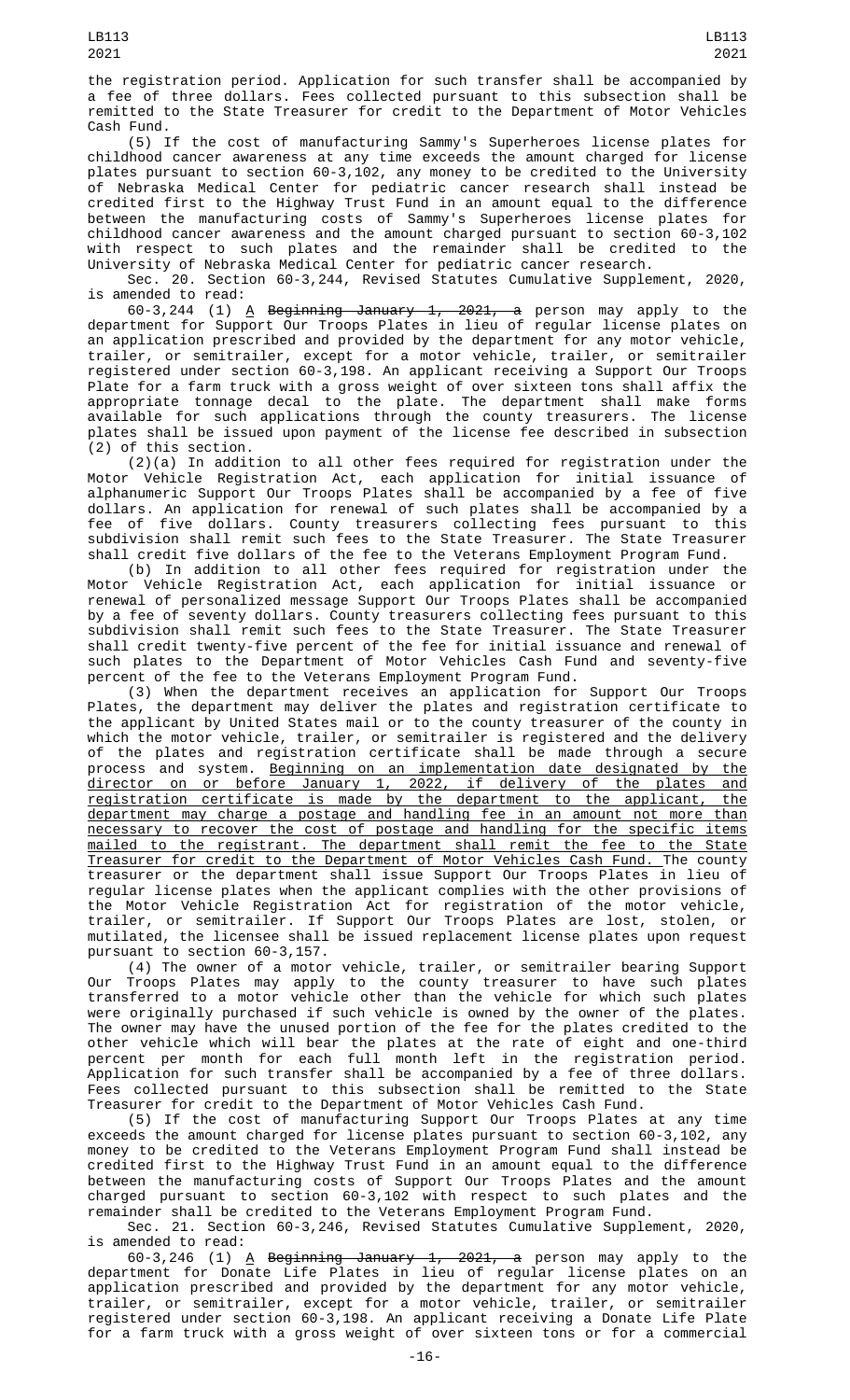the registration period. Application for such transfer shall be accompanied by a fee of three dollars. Fees collected pursuant to this subsection shall be remitted to the State Treasurer for credit to the Department of Motor Vehicles Cash Fund.

(5) If the cost of manufacturing Sammy's Superheroes license plates for childhood cancer awareness at any time exceeds the amount charged for license plates pursuant to section 60-3,102, any money to be credited to the University of Nebraska Medical Center for pediatric cancer research shall instead be credited first to the Highway Trust Fund in an amount equal to the difference between the manufacturing costs of Sammy's Superheroes license plates for childhood cancer awareness and the amount charged pursuant to section 60-3,102 with respect to such plates and the remainder shall be credited to the University of Nebraska Medical Center for pediatric cancer research.

Sec. 20. Section 60-3,244, Revised Statutes Cumulative Supplement, 2020, is amended to read:

60-3,244 (1) <u>A</u> <del>Beginning January 1, 2021, a</del> person may apply to the department for Support Our Troops Plates in lieu of regular license plates on an application prescribed and provided by the department for any motor vehicle, trailer, or semitrailer, except for a motor vehicle, trailer, or semitrailer registered under section 60-3,198. An applicant receiving a Support Our Troops Plate for a farm truck with a gross weight of over sixteen tons shall affix the appropriate tonnage decal to the plate. The department shall make forms available for such applications through the county treasurers. The license plates shall be issued upon payment of the license fee described in subsection (2) of this section.

(2)(a) In addition to all other fees required for registration under the Motor Vehicle Registration Act, each application for initial issuance of alphanumeric Support Our Troops Plates shall be accompanied by a fee of five dollars. An application for renewal of such plates shall be accompanied by a fee of five dollars. County treasurers collecting fees pursuant to this subdivision shall remit such fees to the State Treasurer. The State Treasurer shall credit five dollars of the fee to the Veterans Employment Program Fund.

(b) In addition to all other fees required for registration under the Motor Vehicle Registration Act, each application for initial issuance or renewal of personalized message Support Our Troops Plates shall be accompanied by a fee of seventy dollars. County treasurers collecting fees pursuant to this subdivision shall remit such fees to the State Treasurer. The State Treasurer shall credit twenty-five percent of the fee for initial issuance and renewal of such plates to the Department of Motor Vehicles Cash Fund and seventy-five percent of the fee to the Veterans Employment Program Fund.

(3) When the department receives an application for Support Our Troops Plates, the department may deliver the plates and registration certificate to the applicant by United States mail or to the county treasurer of the county in which the motor vehicle, trailer, or semitrailer is registered and the delivery of the plates and registration certificate shall be made through a secure process and system. Beginning on an implementation date designated by the director on or before January 1, 2022, if delivery of the plates and registration certificate is made by the department to the applicant, the department may charge a postage and handling fee in an amount not more than necessary to recover the cost of postage and handling for the specific items mailed to the registrant. The department shall remit the fee to the State Treasurer for credit to the Department of Motor Vehicles Cash Fund. The county treasurer or the department shall issue Support Our Troops Plates in lieu of regular license plates when the applicant complies with the other provisions of the Motor Vehicle Registration Act for registration of the motor vehicle, trailer, or semitrailer. If Support Our Troops Plates are lost, stolen, or mutilated, the licensee shall be issued replacement license plates upon request pursuant to section 60-3,157.

(4) The owner of a motor vehicle, trailer, or semitrailer bearing Support Our Troops Plates may apply to the county treasurer to have such plates transferred to a motor vehicle other than the vehicle for which such plates were originally purchased if such vehicle is owned by the owner of the plates. The owner may have the unused portion of the fee for the plates credited to the other vehicle which will bear the plates at the rate of eight and one-third percent per month for each full month left in the registration period. Application for such transfer shall be accompanied by a fee of three dollars. Fees collected pursuant to this subsection shall be remitted to the State Treasurer for credit to the Department of Motor Vehicles Cash Fund.

(5) If the cost of manufacturing Support Our Troops Plates at any time exceeds the amount charged for license plates pursuant to section 60-3,102, any money to be credited to the Veterans Employment Program Fund shall instead be credited first to the Highway Trust Fund in an amount equal to the difference between the manufacturing costs of Support Our Troops Plates and the amount charged pursuant to section 60-3,102 with respect to such plates and the remainder shall be credited to the Veterans Employment Program Fund.

Sec. 21. Section 60-3,246, Revised Statutes Cumulative Supplement, 2020, is amended to read:

 $60-3,246$  (1) A Beginning January 1, 2021, a person may apply to the department for Donate Life Plates in lieu of regular license plates on an application prescribed and provided by the department for any motor vehicle, trailer, or semitrailer, except for a motor vehicle, trailer, or semitrailer registered under section 60-3,198. An applicant receiving a Donate Life Plate for a farm truck with a gross weight of over sixteen tons or for a commercial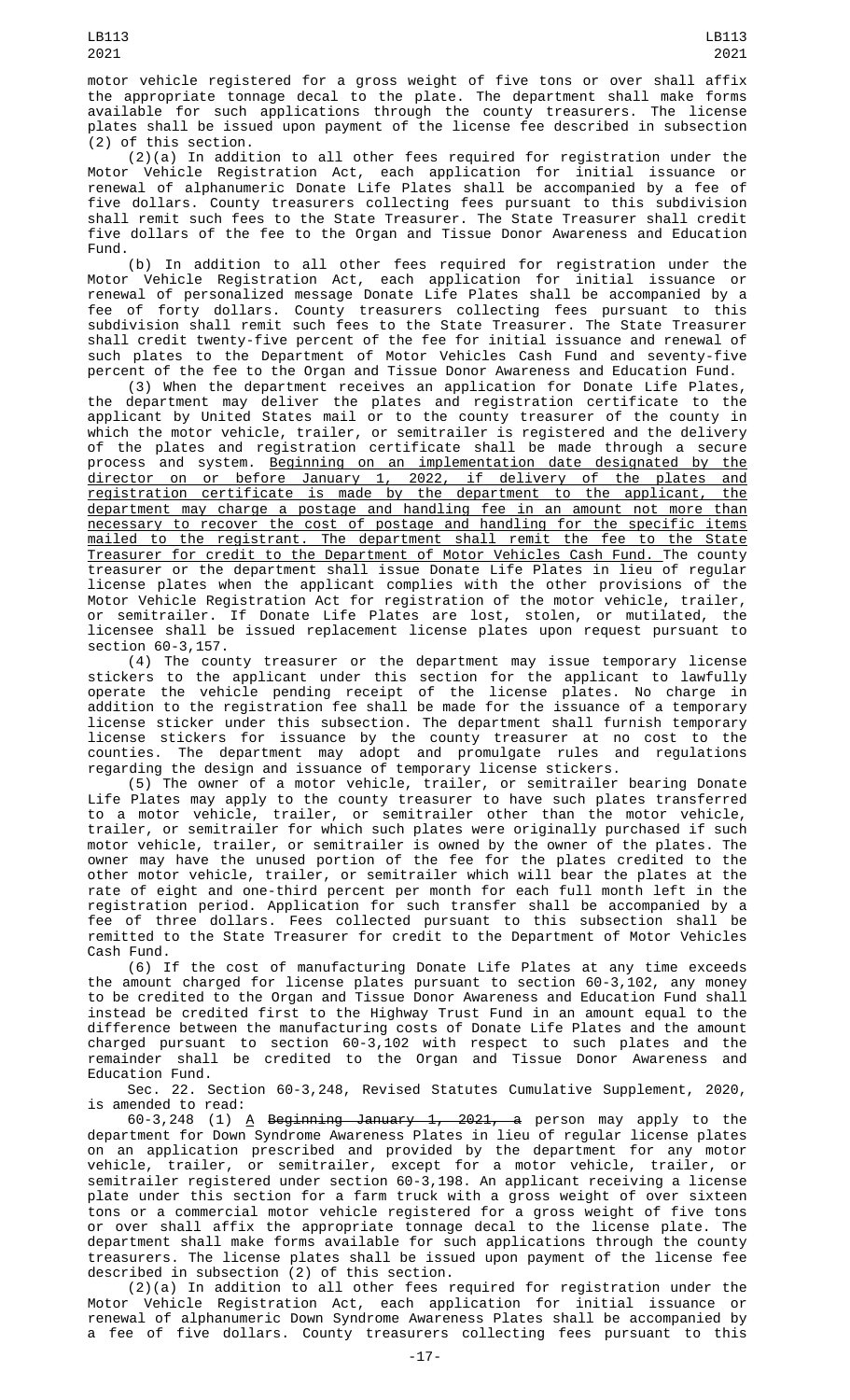(2)(a) In addition to all other fees required for registration under the Motor Vehicle Registration Act, each application for initial issuance or renewal of alphanumeric Donate Life Plates shall be accompanied by a fee of five dollars. County treasurers collecting fees pursuant to this subdivision shall remit such fees to the State Treasurer. The State Treasurer shall credit five dollars of the fee to the Organ and Tissue Donor Awareness and Education Fund.

(b) In addition to all other fees required for registration under the Motor Vehicle Registration Act, each application for initial issuance or renewal of personalized message Donate Life Plates shall be accompanied by a fee of forty dollars. County treasurers collecting fees pursuant to this subdivision shall remit such fees to the State Treasurer. The State Treasurer shall credit twenty-five percent of the fee for initial issuance and renewal of such plates to the Department of Motor Vehicles Cash Fund and seventy-five percent of the fee to the Organ and Tissue Donor Awareness and Education Fund.

(3) When the department receives an application for Donate Life Plates, the department may deliver the plates and registration certificate to the applicant by United States mail or to the county treasurer of the county in which the motor vehicle, trailer, or semitrailer is registered and the delivery of the plates and registration certificate shall be made through a secure process and system. Beginning on an implementation date designated by the director on or before January 1, 2022, if delivery of the plates and registration certificate is made by the department to the applicant, the department may charge a postage and handling fee in an amount not more than necessary to recover the cost of postage and handling for the specific items mailed to the registrant. The department shall remit the fee to the State Treasurer for credit to the Department of Motor Vehicles Cash Fund. The county treasurer or the department shall issue Donate Life Plates in lieu of regular license plates when the applicant complies with the other provisions of the Motor Vehicle Registration Act for registration of the motor vehicle, trailer, or semitrailer. If Donate Life Plates are lost, stolen, or mutilated, the licensee shall be issued replacement license plates upon request pursuant to section 60-3,157.

(4) The county treasurer or the department may issue temporary license stickers to the applicant under this section for the applicant to lawfully operate the vehicle pending receipt of the license plates. No charge in addition to the registration fee shall be made for the issuance of a temporary license sticker under this subsection. The department shall furnish temporary license stickers for issuance by the county treasurer at no cost to the counties. The department may adopt and promulgate rules and regulations regarding the design and issuance of temporary license stickers.

(5) The owner of a motor vehicle, trailer, or semitrailer bearing Donate Life Plates may apply to the county treasurer to have such plates transferred to a motor vehicle, trailer, or semitrailer other than the motor vehicle, trailer, or semitrailer for which such plates were originally purchased if such motor vehicle, trailer, or semitrailer is owned by the owner of the plates. The owner may have the unused portion of the fee for the plates credited to the other motor vehicle, trailer, or semitrailer which will bear the plates at the rate of eight and one-third percent per month for each full month left in the registration period. Application for such transfer shall be accompanied by a fee of three dollars. Fees collected pursuant to this subsection shall be remitted to the State Treasurer for credit to the Department of Motor Vehicles Cash Fund.

(6) If the cost of manufacturing Donate Life Plates at any time exceeds the amount charged for license plates pursuant to section 60-3,102, any money to be credited to the Organ and Tissue Donor Awareness and Education Fund shall instead be credited first to the Highway Trust Fund in an amount equal to the difference between the manufacturing costs of Donate Life Plates and the amount charged pursuant to section 60-3,102 with respect to such plates and the remainder shall be credited to the Organ and Tissue Donor Awareness and Education Fund.

Sec. 22. Section 60-3,248, Revised Statutes Cumulative Supplement, 2020, is amended to read:

60-3,248 (1) <u>A</u> <del>Beginning January 1, 2021, a</del> person may apply to the department for Down Syndrome Awareness Plates in lieu of regular license plates on an application prescribed and provided by the department for any motor vehicle, trailer, or semitrailer, except for a motor vehicle, trailer, or semitrailer registered under section 60-3,198. An applicant receiving a license plate under this section for a farm truck with a gross weight of over sixteen tons or a commercial motor vehicle registered for a gross weight of five tons or over shall affix the appropriate tonnage decal to the license plate. The department shall make forms available for such applications through the county treasurers. The license plates shall be issued upon payment of the license fee described in subsection (2) of this section.

(2)(a) In addition to all other fees required for registration under the Motor Vehicle Registration Act, each application for initial issuance or renewal of alphanumeric Down Syndrome Awareness Plates shall be accompanied by a fee of five dollars. County treasurers collecting fees pursuant to this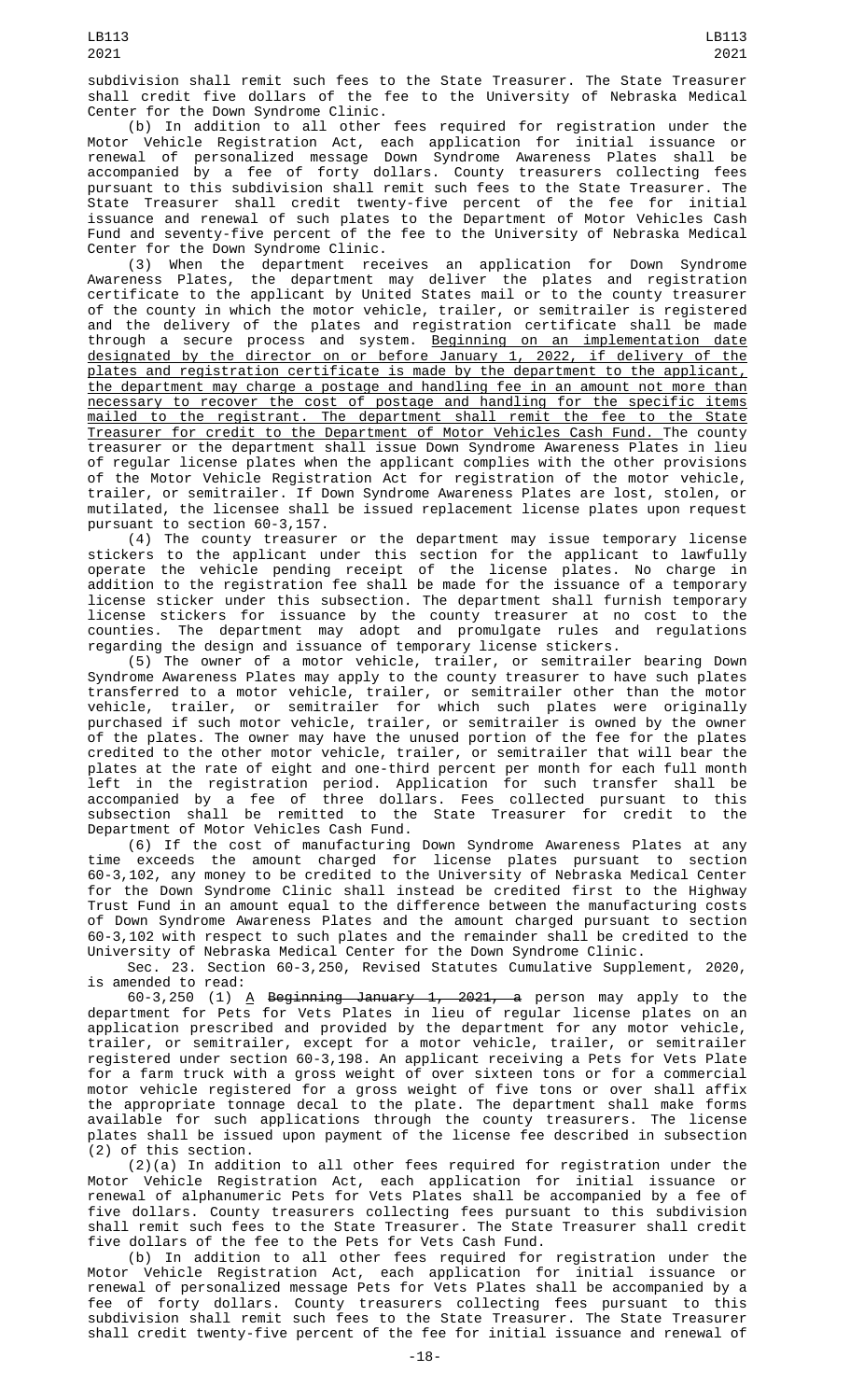subdivision shall remit such fees to the State Treasurer. The State Treasurer shall credit five dollars of the fee to the University of Nebraska Medical Center for the Down Syndrome Clinic.

(b) In addition to all other fees required for registration under the Motor Vehicle Registration Act, each application for initial issuance or renewal of personalized message Down Syndrome Awareness Plates shall be accompanied by a fee of forty dollars. County treasurers collecting fees pursuant to this subdivision shall remit such fees to the State Treasurer. The State Treasurer shall credit twenty-five percent of the fee for initial issuance and renewal of such plates to the Department of Motor Vehicles Cash Fund and seventy-five percent of the fee to the University of Nebraska Medical Center for the Down Syndrome Clinic.

(3) When the department receives an application for Down Syndrome Awareness Plates, the department may deliver the plates and registration certificate to the applicant by United States mail or to the county treasurer of the county in which the motor vehicle, trailer, or semitrailer is registered and the delivery of the plates and registration certificate shall be made through a secure process and system. <u>Beginning on an implementation date</u> designated by the director on or before January 1, 2022, if delivery of the plates and registration certificate is made by the department to the applicant, the department may charge a postage and handling fee in an amount not more than necessary to recover the cost of postage and handling for the specific items mailed to the registrant. The department shall remit the fee to the State Treasurer for credit to the Department of Motor Vehicles Cash Fund. The county treasurer or the department shall issue Down Syndrome Awareness Plates in lieu of regular license plates when the applicant complies with the other provisions of the Motor Vehicle Registration Act for registration of the motor vehicle, trailer, or semitrailer. If Down Syndrome Awareness Plates are lost, stolen, or mutilated, the licensee shall be issued replacement license plates upon request pursuant to section 60-3,157.

(4) The county treasurer or the department may issue temporary license stickers to the applicant under this section for the applicant to lawfully operate the vehicle pending receipt of the license plates. No charge in addition to the registration fee shall be made for the issuance of a temporary license sticker under this subsection. The department shall furnish temporary license stickers for issuance by the county treasurer at no cost to the counties. The department may adopt and promulgate rules and regulations regarding the design and issuance of temporary license stickers.

(5) The owner of a motor vehicle, trailer, or semitrailer bearing Down Syndrome Awareness Plates may apply to the county treasurer to have such plates transferred to a motor vehicle, trailer, or semitrailer other than the motor vehicle, trailer, or semitrailer for which such plates were originally purchased if such motor vehicle, trailer, or semitrailer is owned by the owner of the plates. The owner may have the unused portion of the fee for the plates credited to the other motor vehicle, trailer, or semitrailer that will bear the plates at the rate of eight and one-third percent per month for each full month left in the registration period. Application for such transfer shall be accompanied by a fee of three dollars. Fees collected pursuant to this subsection shall be remitted to the State Treasurer for credit to the Department of Motor Vehicles Cash Fund.

(6) If the cost of manufacturing Down Syndrome Awareness Plates at any time exceeds the amount charged for license plates pursuant to section 60-3,102, any money to be credited to the University of Nebraska Medical Center for the Down Syndrome Clinic shall instead be credited first to the Highway Trust Fund in an amount equal to the difference between the manufacturing costs of Down Syndrome Awareness Plates and the amount charged pursuant to section 60-3,102 with respect to such plates and the remainder shall be credited to the University of Nebraska Medical Center for the Down Syndrome Clinic.

Sec. 23. Section 60-3,250, Revised Statutes Cumulative Supplement, 2020, is amended to read:

60-3,250 (1) <u>A</u> <del>Beginning January 1, 2021, a</del> person may apply to the department for Pets for Vets Plates in lieu of regular license plates on an application prescribed and provided by the department for any motor vehicle, trailer, or semitrailer, except for a motor vehicle, trailer, or semitrailer registered under section 60-3,198. An applicant receiving a Pets for Vets Plate for a farm truck with a gross weight of over sixteen tons or for a commercial motor vehicle registered for a gross weight of five tons or over shall affix the appropriate tonnage decal to the plate. The department shall make forms available for such applications through the county treasurers. The license plates shall be issued upon payment of the license fee described in subsection (2) of this section.

(2)(a) In addition to all other fees required for registration under the Motor Vehicle Registration Act, each application for initial issuance or renewal of alphanumeric Pets for Vets Plates shall be accompanied by a fee of five dollars. County treasurers collecting fees pursuant to this subdivision shall remit such fees to the State Treasurer. The State Treasurer shall credit five dollars of the fee to the Pets for Vets Cash Fund.

(b) In addition to all other fees required for registration under the Motor Vehicle Registration Act, each application for initial issuance or renewal of personalized message Pets for Vets Plates shall be accompanied by a fee of forty dollars. County treasurers collecting fees pursuant to this subdivision shall remit such fees to the State Treasurer. The State Treasurer shall credit twenty-five percent of the fee for initial issuance and renewal of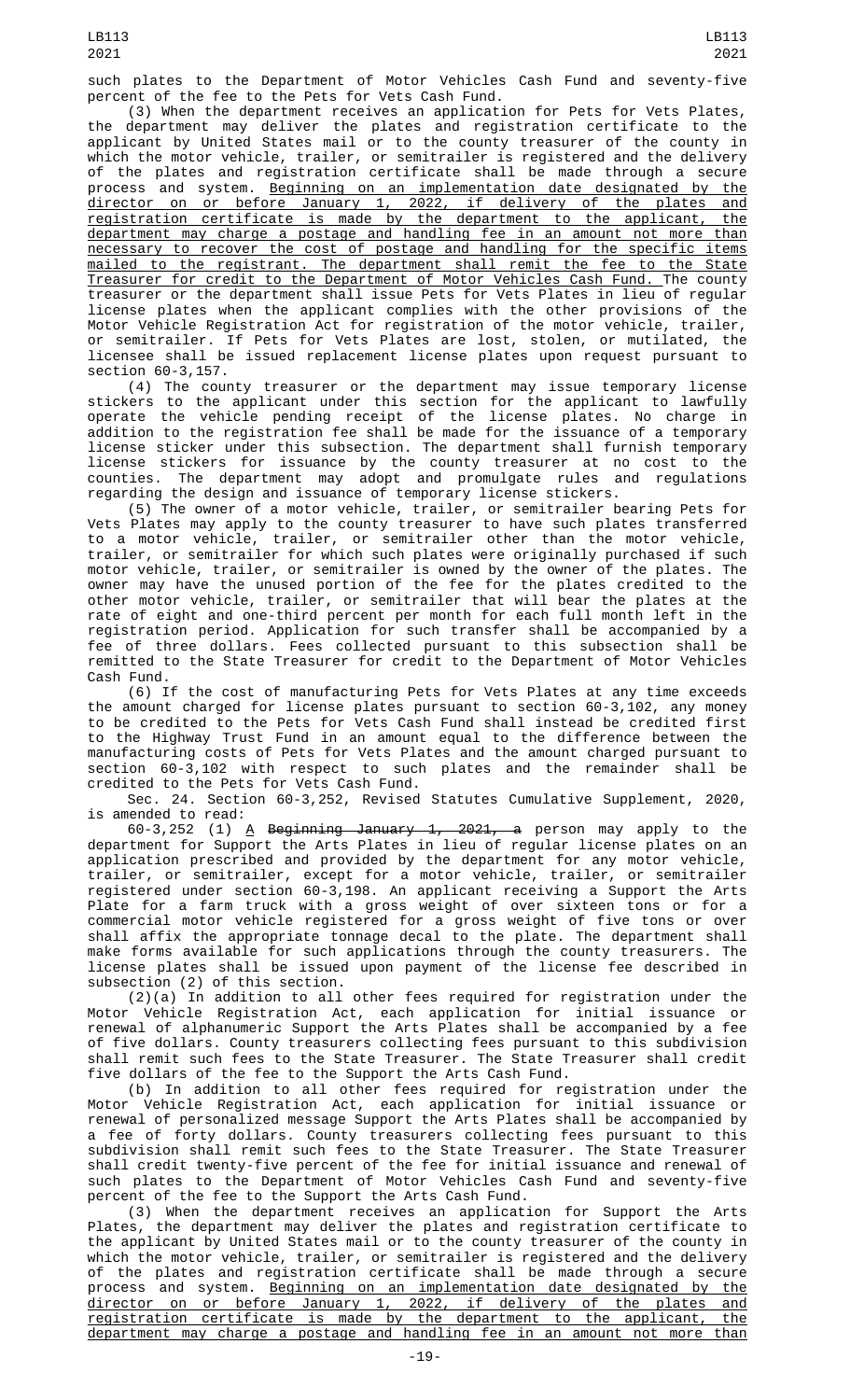such plates to the Department of Motor Vehicles Cash Fund and seventy-five percent of the fee to the Pets for Vets Cash Fund.

(3) When the department receives an application for Pets for Vets Plates, the department may deliver the plates and registration certificate to the applicant by United States mail or to the county treasurer of the county in which the motor vehicle, trailer, or semitrailer is registered and the delivery of the plates and registration certificate shall be made through a secure process and system. <u>Beginning on an implementation date designated by the</u> director on or before January 1, 2022, if delivery of the plates and registration certificate is made by the department to the applicant, the department may charge a postage and handling fee in an amount not more than necessary to recover the cost of postage and handling for the specific items mailed to the registrant. The department shall remit the fee to the State Treasurer for credit to the Department of Motor Vehicles Cash Fund. The county treasurer or the department shall issue Pets for Vets Plates in lieu of regular license plates when the applicant complies with the other provisions of the Motor Vehicle Registration Act for registration of the motor vehicle, trailer, or semitrailer. If Pets for Vets Plates are lost, stolen, or mutilated, the licensee shall be issued replacement license plates upon request pursuant to section 60-3,157.

(4) The county treasurer or the department may issue temporary license stickers to the applicant under this section for the applicant to lawfully operate the vehicle pending receipt of the license plates. No charge in addition to the registration fee shall be made for the issuance of a temporary license sticker under this subsection. The department shall furnish temporary license stickers for issuance by the county treasurer at no cost to the counties. The department may adopt and promulgate rules and regulations regarding the design and issuance of temporary license stickers.

(5) The owner of a motor vehicle, trailer, or semitrailer bearing Pets for Vets Plates may apply to the county treasurer to have such plates transferred to a motor vehicle, trailer, or semitrailer other than the motor vehicle, trailer, or semitrailer for which such plates were originally purchased if such motor vehicle, trailer, or semitrailer is owned by the owner of the plates. The owner may have the unused portion of the fee for the plates credited to the other motor vehicle, trailer, or semitrailer that will bear the plates at the rate of eight and one-third percent per month for each full month left in the registration period. Application for such transfer shall be accompanied by a fee of three dollars. Fees collected pursuant to this subsection shall be remitted to the State Treasurer for credit to the Department of Motor Vehicles Cash Fund.

(6) If the cost of manufacturing Pets for Vets Plates at any time exceeds the amount charged for license plates pursuant to section 60-3,102, any money to be credited to the Pets for Vets Cash Fund shall instead be credited first to the Highway Trust Fund in an amount equal to the difference between the manufacturing costs of Pets for Vets Plates and the amount charged pursuant to section 60-3,102 with respect to such plates and the remainder shall be credited to the Pets for Vets Cash Fund.

Sec. 24. Section 60-3,252, Revised Statutes Cumulative Supplement, 2020, is amended to read:

60-3,252 (1) <u>A</u> <del>Beginning January 1, 2021, a</del> person may apply to the department for Support the Arts Plates in lieu of regular license plates on an application prescribed and provided by the department for any motor vehicle, trailer, or semitrailer, except for a motor vehicle, trailer, or semitrailer registered under section 60-3,198. An applicant receiving a Support the Arts Plate for a farm truck with a gross weight of over sixteen tons or for a commercial motor vehicle registered for a gross weight of five tons or over shall affix the appropriate tonnage decal to the plate. The department shall make forms available for such applications through the county treasurers. The license plates shall be issued upon payment of the license fee described in subsection (2) of this section.

 $(2)(a)$  In addition to all other fees required for registration under the Motor Vehicle Registration Act, each application for initial issuance or renewal of alphanumeric Support the Arts Plates shall be accompanied by a fee of five dollars. County treasurers collecting fees pursuant to this subdivision shall remit such fees to the State Treasurer. The State Treasurer shall credit five dollars of the fee to the Support the Arts Cash Fund.

(b) In addition to all other fees required for registration under the Motor Vehicle Registration Act, each application for initial issuance or renewal of personalized message Support the Arts Plates shall be accompanied by a fee of forty dollars. County treasurers collecting fees pursuant to this subdivision shall remit such fees to the State Treasurer. The State Treasurer shall credit twenty-five percent of the fee for initial issuance and renewal of such plates to the Department of Motor Vehicles Cash Fund and seventy-five percent of the fee to the Support the Arts Cash Fund.

(3) When the department receives an application for Support the Arts Plates, the department may deliver the plates and registration certificate to the applicant by United States mail or to the county treasurer of the county in which the motor vehicle, trailer, or semitrailer is registered and the delivery of the plates and registration certificate shall be made through a secure process and system. <u>Beginning on an implementation date designated by the</u> director on or before January 1, 2022, if delivery of the plates and registration certificate is made by the department to the applicant, the department may charge a postage and handling fee in an amount not more than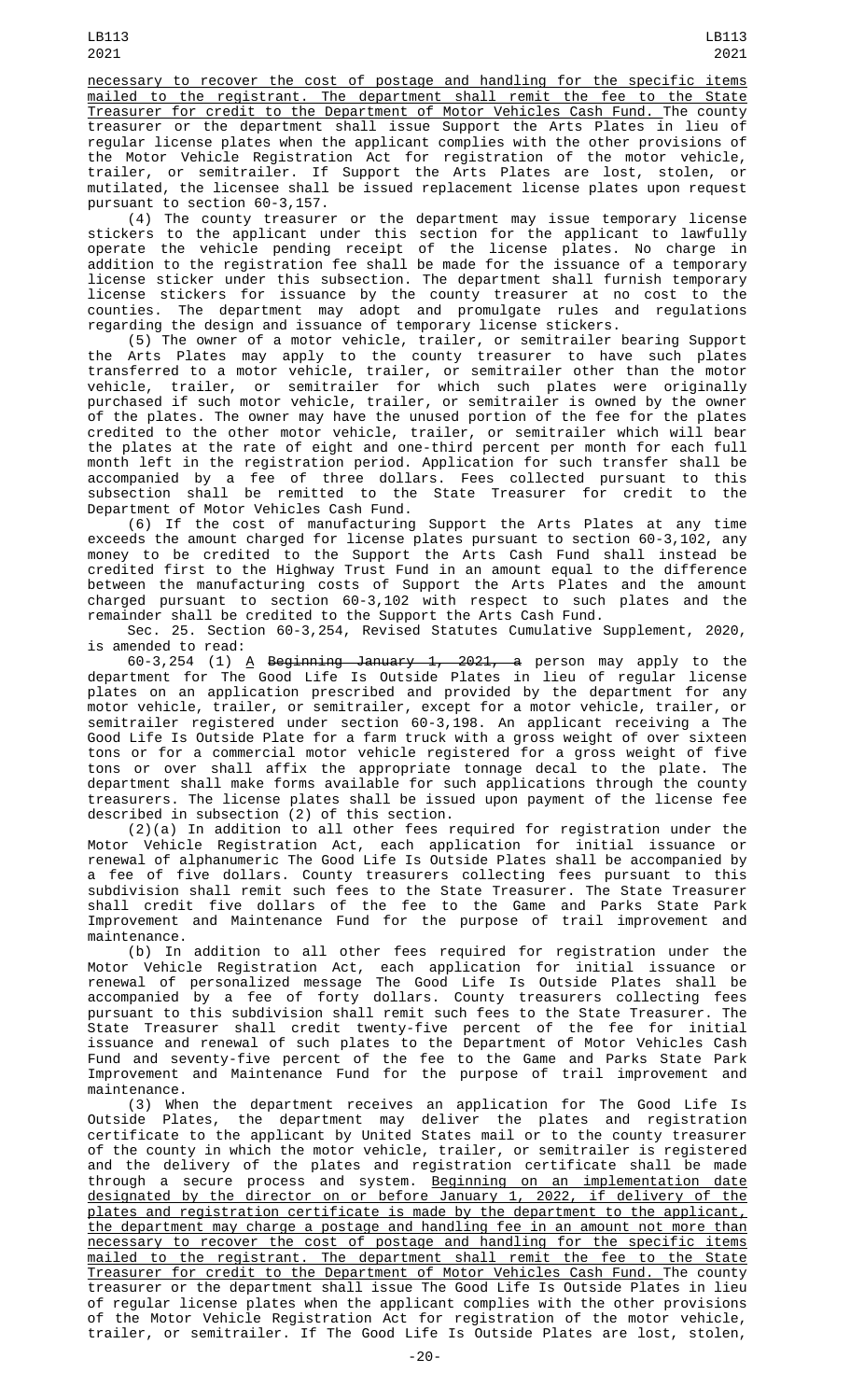necessary to recover the cost of postage and handling for the specific items mailed to the registrant. The department shall remit the fee to the State Treasurer for credit to the Department of Motor Vehicles Cash Fund. The county treasurer or the department shall issue Support the Arts Plates in lieu of regular license plates when the applicant complies with the other provisions of the Motor Vehicle Registration Act for registration of the motor vehicle, trailer, or semitrailer. If Support the Arts Plates are lost, stolen, or mutilated, the licensee shall be issued replacement license plates upon request pursuant to section 60-3,157.

(4) The county treasurer or the department may issue temporary license stickers to the applicant under this section for the applicant to lawfully operate the vehicle pending receipt of the license plates. No charge in addition to the registration fee shall be made for the issuance of a temporary license sticker under this subsection. The department shall furnish temporary license stickers for issuance by the county treasurer at no cost to the counties. The department may adopt and promulgate rules and regulations regarding the design and issuance of temporary license stickers.

(5) The owner of a motor vehicle, trailer, or semitrailer bearing Support the Arts Plates may apply to the county treasurer to have such plates transferred to a motor vehicle, trailer, or semitrailer other than the motor vehicle, trailer, or semitrailer for which such plates were originally purchased if such motor vehicle, trailer, or semitrailer is owned by the owner of the plates. The owner may have the unused portion of the fee for the plates credited to the other motor vehicle, trailer, or semitrailer which will bear the plates at the rate of eight and one-third percent per month for each full month left in the registration period. Application for such transfer shall be accompanied by a fee of three dollars. Fees collected pursuant to this subsection shall be remitted to the State Treasurer for credit to the Department of Motor Vehicles Cash Fund.

(6) If the cost of manufacturing Support the Arts Plates at any time exceeds the amount charged for license plates pursuant to section 60-3,102, any money to be credited to the Support the Arts Cash Fund shall instead be credited first to the Highway Trust Fund in an amount equal to the difference between the manufacturing costs of Support the Arts Plates and the amount charged pursuant to section 60-3,102 with respect to such plates and the remainder shall be credited to the Support the Arts Cash Fund.

Sec. 25. Section 60-3,254, Revised Statutes Cumulative Supplement, 2020, is amended to read:

60-3,254 (1) <u>A</u> <del>Beginning January 1, 2021, a</del> person may apply to the department for The Good Life Is Outside Plates in lieu of regular license plates on an application prescribed and provided by the department for any motor vehicle, trailer, or semitrailer, except for a motor vehicle, trailer, or semitrailer registered under section 60-3,198. An applicant receiving a The Good Life Is Outside Plate for a farm truck with a gross weight of over sixteen tons or for a commercial motor vehicle registered for a gross weight of five tons or over shall affix the appropriate tonnage decal to the plate. The department shall make forms available for such applications through the county treasurers. The license plates shall be issued upon payment of the license fee described in subsection (2) of this section.

(2)(a) In addition to all other fees required for registration under the Motor Vehicle Registration Act, each application for initial issuance or renewal of alphanumeric The Good Life Is Outside Plates shall be accompanied by a fee of five dollars. County treasurers collecting fees pursuant to this subdivision shall remit such fees to the State Treasurer. The State Treasurer shall credit five dollars of the fee to the Game and Parks State Park Improvement and Maintenance Fund for the purpose of trail improvement and maintenance.

(b) In addition to all other fees required for registration under the Motor Vehicle Registration Act, each application for initial issuance or renewal of personalized message The Good Life Is Outside Plates shall be accompanied by a fee of forty dollars. County treasurers collecting fees pursuant to this subdivision shall remit such fees to the State Treasurer. The State Treasurer shall credit twenty-five percent of the fee for initial issuance and renewal of such plates to the Department of Motor Vehicles Cash Fund and seventy-five percent of the fee to the Game and Parks State Park Improvement and Maintenance Fund for the purpose of trail improvement and maintenance.

(3) When the department receives an application for The Good Life Is Outside Plates, the department may deliver the plates and registration certificate to the applicant by United States mail or to the county treasurer of the county in which the motor vehicle, trailer, or semitrailer is registered and the delivery of the plates and registration certificate shall be made through a secure process and system. <u>Beginning on an implementation date</u> designated by the director on or before January 1, 2022, if delivery of the plates and registration certificate is made by the department to the applicant, the department may charge a postage and handling fee in an amount not more than necessary to recover the cost of postage and handling for the specific items mailed to the registrant. The department shall remit the fee to the State Treasurer for credit to the Department of Motor Vehicles Cash Fund. The county treasurer or the department shall issue The Good Life Is Outside Plates in lieu of regular license plates when the applicant complies with the other provisions of the Motor Vehicle Registration Act for registration of the motor vehicle, trailer, or semitrailer. If The Good Life Is Outside Plates are lost, stolen,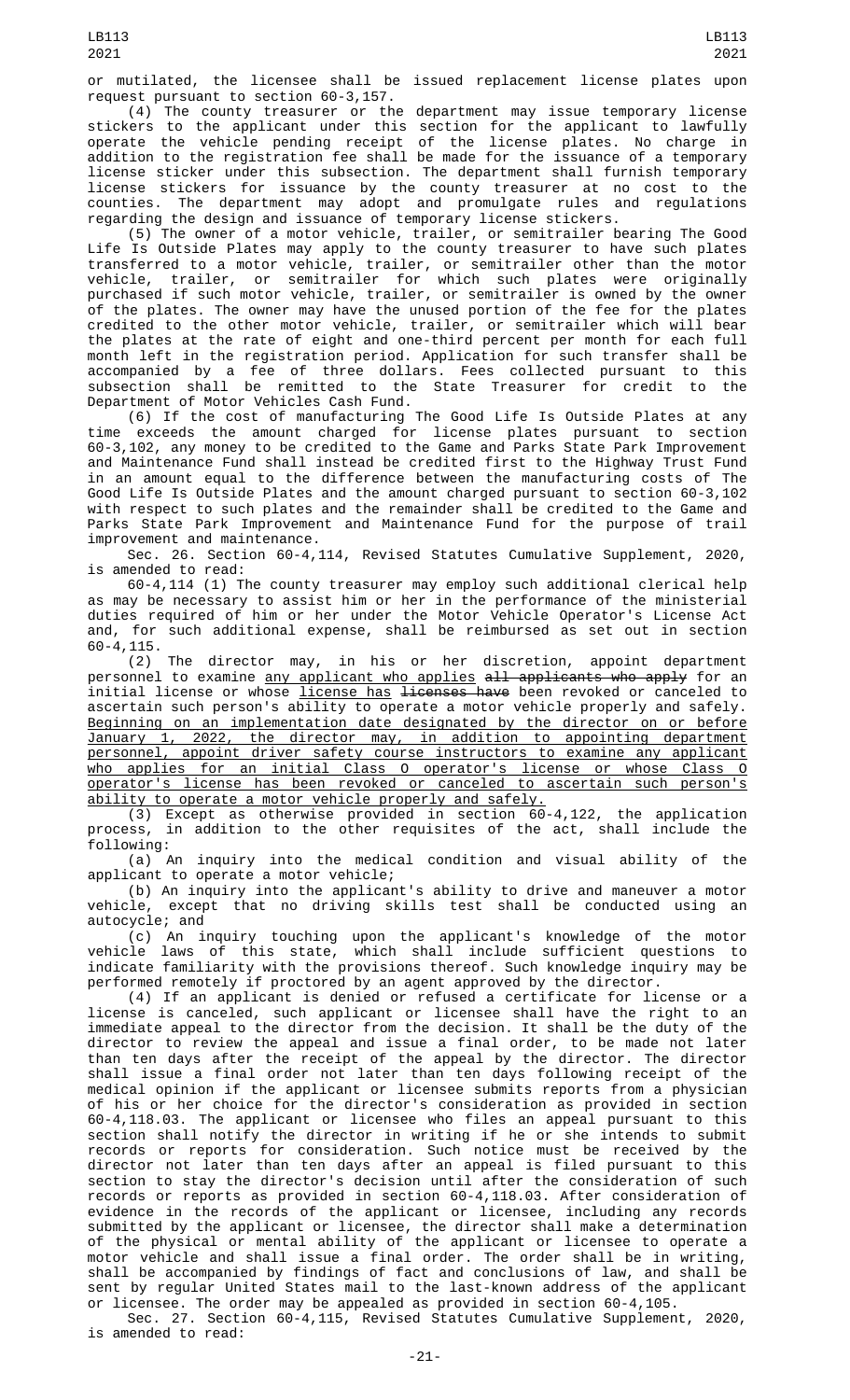(4) The county treasurer or the department may issue temporary license stickers to the applicant under this section for the applicant to lawfully operate the vehicle pending receipt of the license plates. No charge in addition to the registration fee shall be made for the issuance of a temporary license sticker under this subsection. The department shall furnish temporary license stickers for issuance by the county treasurer at no cost to the counties. The department may adopt and promulgate rules and regulations

regarding the design and issuance of temporary license stickers. (5) The owner of a motor vehicle, trailer, or semitrailer bearing The Good Life Is Outside Plates may apply to the county treasurer to have such plates transferred to a motor vehicle, trailer, or semitrailer other than the motor vehicle, trailer, or semitrailer for which such plates were originally purchased if such motor vehicle, trailer, or semitrailer is owned by the owner of the plates. The owner may have the unused portion of the fee for the plates credited to the other motor vehicle, trailer, or semitrailer which will bear the plates at the rate of eight and one-third percent per month for each full month left in the registration period. Application for such transfer shall be accompanied by a fee of three dollars. Fees collected pursuant to this subsection shall be remitted to the State Treasurer for credit to the Department of Motor Vehicles Cash Fund.

(6) If the cost of manufacturing The Good Life Is Outside Plates at any time exceeds the amount charged for license plates pursuant to section 60-3,102, any money to be credited to the Game and Parks State Park Improvement and Maintenance Fund shall instead be credited first to the Highway Trust Fund in an amount equal to the difference between the manufacturing costs of The Good Life Is Outside Plates and the amount charged pursuant to section 60-3,102 with respect to such plates and the remainder shall be credited to the Game and Parks State Park Improvement and Maintenance Fund for the purpose of trail improvement and maintenance.

Sec. 26. Section 60-4,114, Revised Statutes Cumulative Supplement, 2020, is amended to read:

60-4,114 (1) The county treasurer may employ such additional clerical help as may be necessary to assist him or her in the performance of the ministerial duties required of him or her under the Motor Vehicle Operator's License Act and, for such additional expense, shall be reimbursed as set out in section 60-4,115.

(2) The director may, in his or her discretion, appoint department personnel to examine any applicant who applies all applicants who apply for an initial license or whose <u>license has</u> <del>licenses have</del> been revoked or canceled to ascertain such person's ability to operate a motor vehicle properly and safely. Beginning on an implementation date designated by the director on or before January 1, 2022, the director may, in addition to appointing department personnel, appoint driver safety course instructors to examine any applicant who applies for an initial Class O operator's license or whose Class O operator's license has been revoked or canceled to ascertain such person's ability to operate a motor vehicle properly and safely.

(3) Except as otherwise provided in section 60-4,122, the application process, in addition to the other requisites of the act, shall include the following:

(a) An inquiry into the medical condition and visual ability of the applicant to operate a motor vehicle;

(b) An inquiry into the applicant's ability to drive and maneuver a motor vehicle, except that no driving skills test shall be conducted using an autocycle; and

(c) An inquiry touching upon the applicant's knowledge of the motor vehicle laws of this state, which shall include sufficient questions to indicate familiarity with the provisions thereof. Such knowledge inquiry may be performed remotely if proctored by an agent approved by the director.

(4) If an applicant is denied or refused a certificate for license or a license is canceled, such applicant or licensee shall have the right to an immediate appeal to the director from the decision. It shall be the duty of the director to review the appeal and issue a final order, to be made not later than ten days after the receipt of the appeal by the director. The director shall issue a final order not later than ten days following receipt of the medical opinion if the applicant or licensee submits reports from a physician of his or her choice for the director's consideration as provided in section 60-4,118.03. The applicant or licensee who files an appeal pursuant to this section shall notify the director in writing if he or she intends to submit records or reports for consideration. Such notice must be received by the director not later than ten days after an appeal is filed pursuant to this section to stay the director's decision until after the consideration of such records or reports as provided in section 60-4,118.03. After consideration of evidence in the records of the applicant or licensee, including any records submitted by the applicant or licensee, the director shall make a determination of the physical or mental ability of the applicant or licensee to operate a motor vehicle and shall issue a final order. The order shall be in writing, shall be accompanied by findings of fact and conclusions of law, and shall be sent by regular United States mail to the last-known address of the applicant or licensee. The order may be appealed as provided in section 60-4,105.

Sec. 27. Section 60-4,115, Revised Statutes Cumulative Supplement, 2020, is amended to read: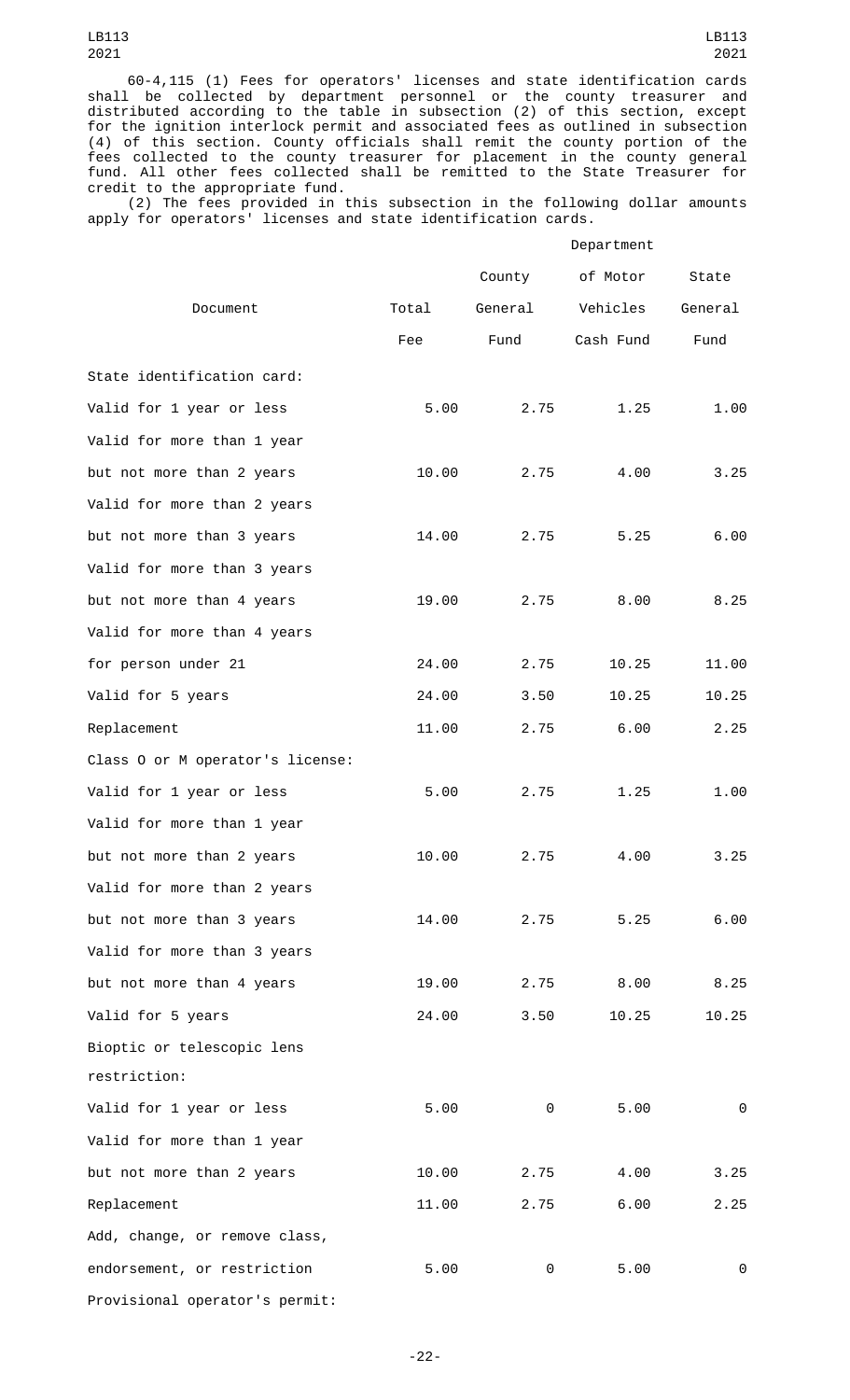60-4,115 (1) Fees for operators' licenses and state identification cards shall be collected by department personnel or the county treasurer and distributed according to the table in subsection (2) of this section, except for the ignition interlock permit and associated fees as outlined in subsection (4) of this section. County officials shall remit the county portion of the fees collected to the county treasurer for placement in the county general fund. All other fees collected shall be remitted to the State Treasurer for credit to the appropriate fund.

(2) The fees provided in this subsection in the following dollar amounts apply for operators' licenses and state identification cards.

|                                  |       | Department |           |         |
|----------------------------------|-------|------------|-----------|---------|
|                                  |       | County     | of Motor  | State   |
| Document                         | Total | General    | Vehicles  | General |
|                                  | Fee   | Fund       | Cash Fund | Fund    |
| State identification card:       |       |            |           |         |
| Valid for 1 year or less         | 5.00  | 2.75       | 1.25      | 1.00    |
| Valid for more than 1 year       |       |            |           |         |
| but not more than 2 years        | 10.00 | 2.75       | 4.00      | 3.25    |
| Valid for more than 2 years      |       |            |           |         |
| but not more than 3 years        | 14.00 | 2.75       | 5.25      | 6.00    |
| Valid for more than 3 years      |       |            |           |         |
| but not more than 4 years        | 19.00 | 2.75       | 8.00      | 8.25    |
| Valid for more than 4 years      |       |            |           |         |
| for person under 21              | 24.00 | 2.75       | 10.25     | 11.00   |
| Valid for 5 years                | 24.00 | 3.50       | 10.25     | 10.25   |
| Replacement                      | 11.00 | 2.75       | 6.00      | 2.25    |
| Class 0 or M operator's license: |       |            |           |         |
| Valid for 1 year or less         | 5.00  | 2.75       | 1.25      | 1.00    |
| Valid for more than 1 year       |       |            |           |         |
| but not more than 2 years        | 10.00 | 2.75       | 4.00      | 3.25    |
| Valid for more than 2 years      |       |            |           |         |
| but not more than 3 years        | 14.00 | 2.75       | 5.25      | 6.00    |
| Valid for more than 3 years      |       |            |           |         |
| but not more than 4 years        | 19.00 | 2.75       | 8.00      | 8.25    |
| Valid for 5 years                | 24.00 | 3.50       | 10.25     | 10.25   |
| Bioptic or telescopic lens       |       |            |           |         |
| restriction:                     |       |            |           |         |
| Valid for 1 year or less         | 5.00  | 0          | 5.00      | 0       |
| Valid for more than 1 year       |       |            |           |         |
| but not more than 2 years        | 10.00 | 2.75       | 4.00      | 3.25    |
| Replacement                      | 11.00 | 2.75       | 6.00      | 2.25    |
| Add, change, or remove class,    |       |            |           |         |
| endorsement, or restriction      | 5.00  | 0          | 5.00      | 0       |
| Provisional operator's permit:   |       |            |           |         |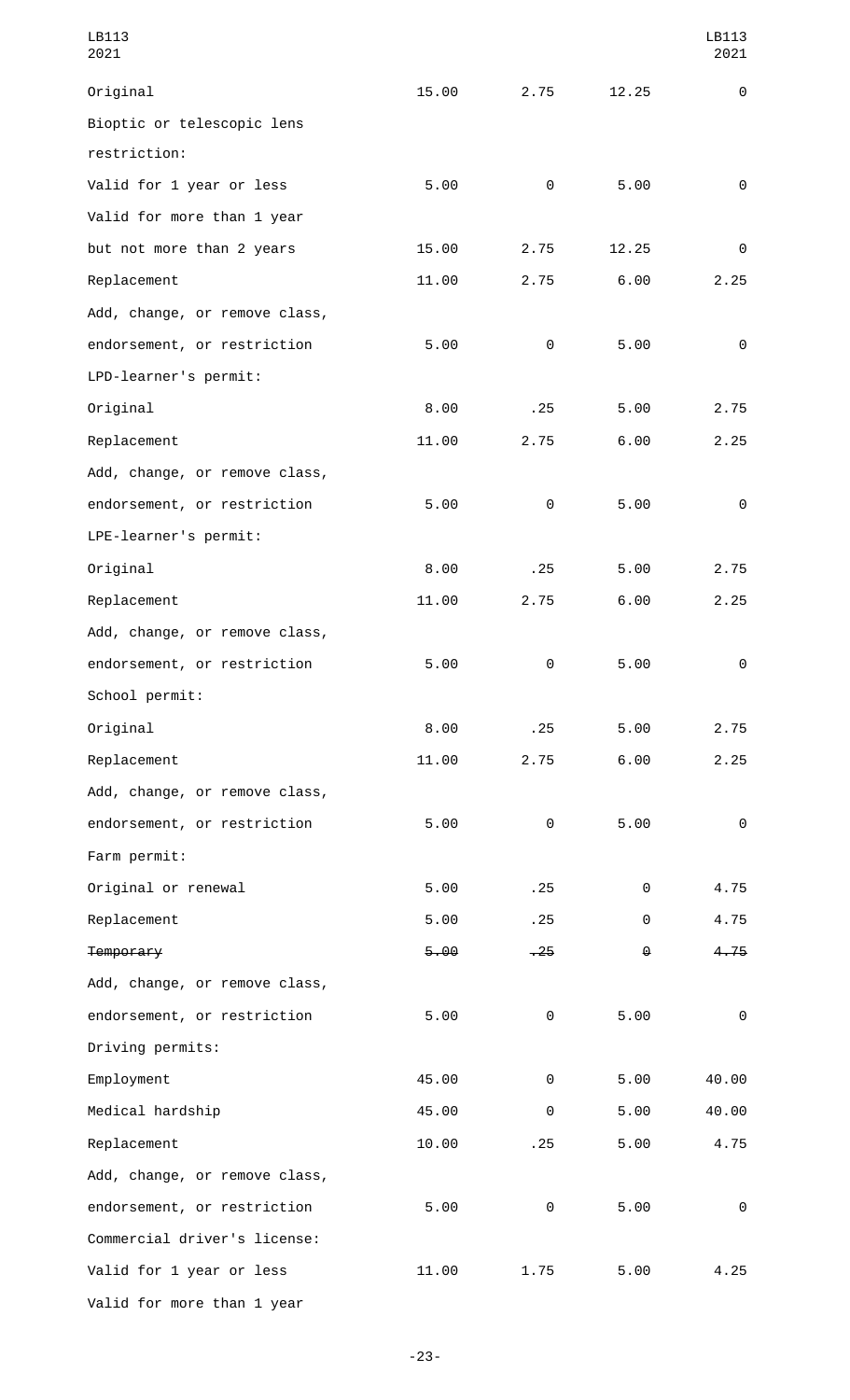| LB113<br>2021                 |       |          |       | LB113<br>2021 |
|-------------------------------|-------|----------|-------|---------------|
| Original                      | 15.00 | 2.75     | 12.25 | 0             |
| Bioptic or telescopic lens    |       |          |       |               |
| restriction:                  |       |          |       |               |
| Valid for 1 year or less      | 5.00  | 0        | 5.00  | 0             |
| Valid for more than 1 year    |       |          |       |               |
| but not more than 2 years     | 15.00 | 2.75     | 12.25 | 0             |
| Replacement                   | 11.00 | 2.75     | 6.00  | 2.25          |
| Add, change, or remove class, |       |          |       |               |
| endorsement, or restriction   | 5.00  | 0        | 5.00  | 0             |
| LPD-learner's permit:         |       |          |       |               |
| Original                      | 8.00  | .25      | 5.00  | 2.75          |
| Replacement                   | 11.00 | 2.75     | 6.00  | 2.25          |
| Add, change, or remove class, |       |          |       |               |
| endorsement, or restriction   | 5.00  | $\Theta$ | 5.00  | $\Theta$      |
| LPE-learner's permit:         |       |          |       |               |
| Original                      | 8.00  | .25      | 5.00  | 2.75          |
| Replacement                   | 11.00 | 2.75     | 6.00  | 2.25          |
| Add, change, or remove class, |       |          |       |               |
| endorsement, or restriction   | 5.00  | $\Theta$ | 5.00  | $\Theta$      |
| School permit:                |       |          |       |               |
| Original                      | 8.00  | .25      | 5.00  | 2.75          |
| Replacement                   | 11.00 | 2.75     | 6.00  | 2.25          |
| Add, change, or remove class, |       |          |       |               |
| endorsement, or restriction   | 5.00  | 0        | 5.00  | 0             |
| Farm permit:                  |       |          |       |               |
| Original or renewal           | 5.00  | .25      | 0     | 4.75          |
| Replacement                   | 5.00  | .25      | 0     | 4.75          |
| Temporary                     | 5.00  | $-25$    | ⊕     | 4.75          |
| Add, change, or remove class, |       |          |       |               |
| endorsement, or restriction   | 5.00  | 0        | 5.00  | 0             |
| Driving permits:              |       |          |       |               |
| Employment                    | 45.00 | $\Theta$ | 5.00  | 40.00         |
| Medical hardship              | 45.00 | $\Theta$ | 5.00  | 40.00         |
| Replacement                   | 10.00 | .25      | 5.00  | 4.75          |
| Add, change, or remove class, |       |          |       |               |
| endorsement, or restriction   | 5.00  | 0        | 5.00  | 0             |
| Commercial driver's license:  |       |          |       |               |
| Valid for 1 year or less      | 11.00 | 1.75     | 5.00  | 4.25          |
| Valid for more than 1 year    |       |          |       |               |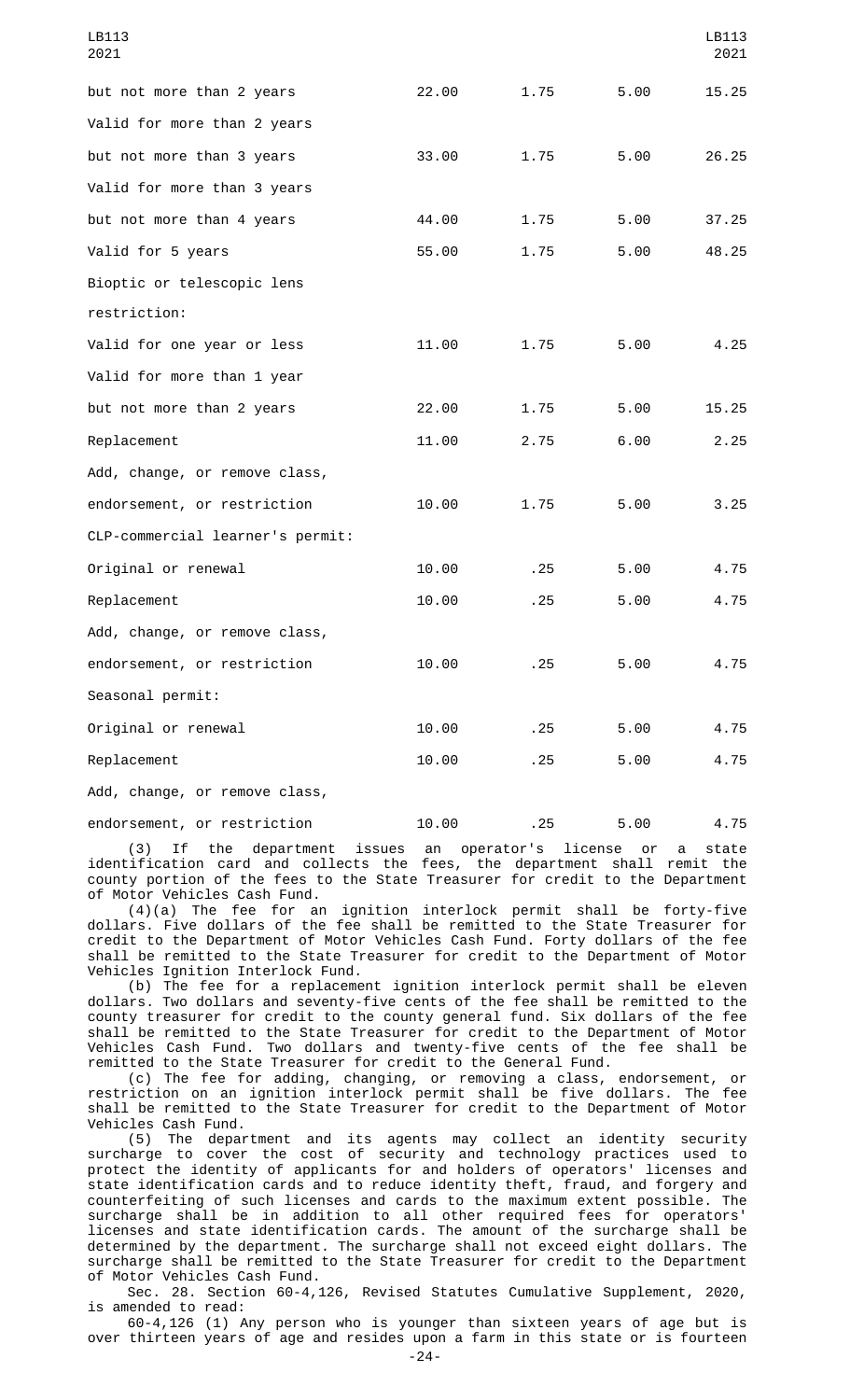| LB113<br>2021                    |       |      |      | LB113<br>2021 |
|----------------------------------|-------|------|------|---------------|
| but not more than 2 years        | 22.00 | 1.75 | 5.00 | 15.25         |
| Valid for more than 2 years      |       |      |      |               |
| but not more than 3 years        | 33.00 | 1.75 | 5.00 | 26.25         |
| Valid for more than 3 years      |       |      |      |               |
| but not more than 4 years        | 44.00 | 1.75 | 5.00 | 37.25         |
| Valid for 5 years                | 55.00 | 1.75 | 5.00 | 48.25         |
| Bioptic or telescopic lens       |       |      |      |               |
| restriction:                     |       |      |      |               |
| Valid for one year or less       | 11.00 | 1.75 | 5.00 | 4.25          |
| Valid for more than 1 year       |       |      |      |               |
| but not more than 2 years        | 22.00 | 1.75 | 5.00 | 15.25         |
| Replacement                      | 11.00 | 2.75 | 6.00 | 2.25          |
| Add, change, or remove class,    |       |      |      |               |
| endorsement, or restriction      | 10.00 | 1.75 | 5.00 | 3.25          |
| CLP-commercial learner's permit: |       |      |      |               |
| Original or renewal              | 10.00 | .25  | 5.00 | 4.75          |
| Replacement                      | 10.00 | .25  | 5.00 | 4.75          |
| Add, change, or remove class,    |       |      |      |               |
| endorsement, or restriction      | 10.00 | .25  | 5.00 | 4.75          |
| Seasonal permit:                 |       |      |      |               |
| Original or renewal              | 10.00 | .25  | 5.00 | 4.75          |
| Replacement                      | 10.00 | .25  | 5.00 | 4.75          |

Add, change, or remove class,

endorsement, or restriction  $10.00$  .25 5.00 4.75

(3) If the department issues an operator's license or a state identification card and collects the fees, the department shall remit the county portion of the fees to the State Treasurer for credit to the Department of Motor Vehicles Cash Fund.

(4)(a) The fee for an ignition interlock permit shall be forty-five dollars. Five dollars of the fee shall be remitted to the State Treasurer for credit to the Department of Motor Vehicles Cash Fund. Forty dollars of the fee shall be remitted to the State Treasurer for credit to the Department of Motor Vehicles Ignition Interlock Fund.

(b) The fee for a replacement ignition interlock permit shall be eleven dollars. Two dollars and seventy-five cents of the fee shall be remitted to the county treasurer for credit to the county general fund. Six dollars of the fee shall be remitted to the State Treasurer for credit to the Department of Motor Vehicles Cash Fund. Two dollars and twenty-five cents of the fee shall be remitted to the State Treasurer for credit to the General Fund.

(c) The fee for adding, changing, or removing a class, endorsement, or restriction on an ignition interlock permit shall be five dollars. The fee shall be remitted to the State Treasurer for credit to the Department of Motor Vehicles Cash Fund.

(5) The department and its agents may collect an identity security surcharge to cover the cost of security and technology practices used to protect the identity of applicants for and holders of operators' licenses and state identification cards and to reduce identity theft, fraud, and forgery and counterfeiting of such licenses and cards to the maximum extent possible. The surcharge shall be in addition to all other required fees for operators' licenses and state identification cards. The amount of the surcharge shall be determined by the department. The surcharge shall not exceed eight dollars. The surcharge shall be remitted to the State Treasurer for credit to the Department of Motor Vehicles Cash Fund.

Sec. 28. Section 60-4,126, Revised Statutes Cumulative Supplement, 2020, is amended to read:

60-4,126 (1) Any person who is younger than sixteen years of age but is over thirteen years of age and resides upon a farm in this state or is fourteen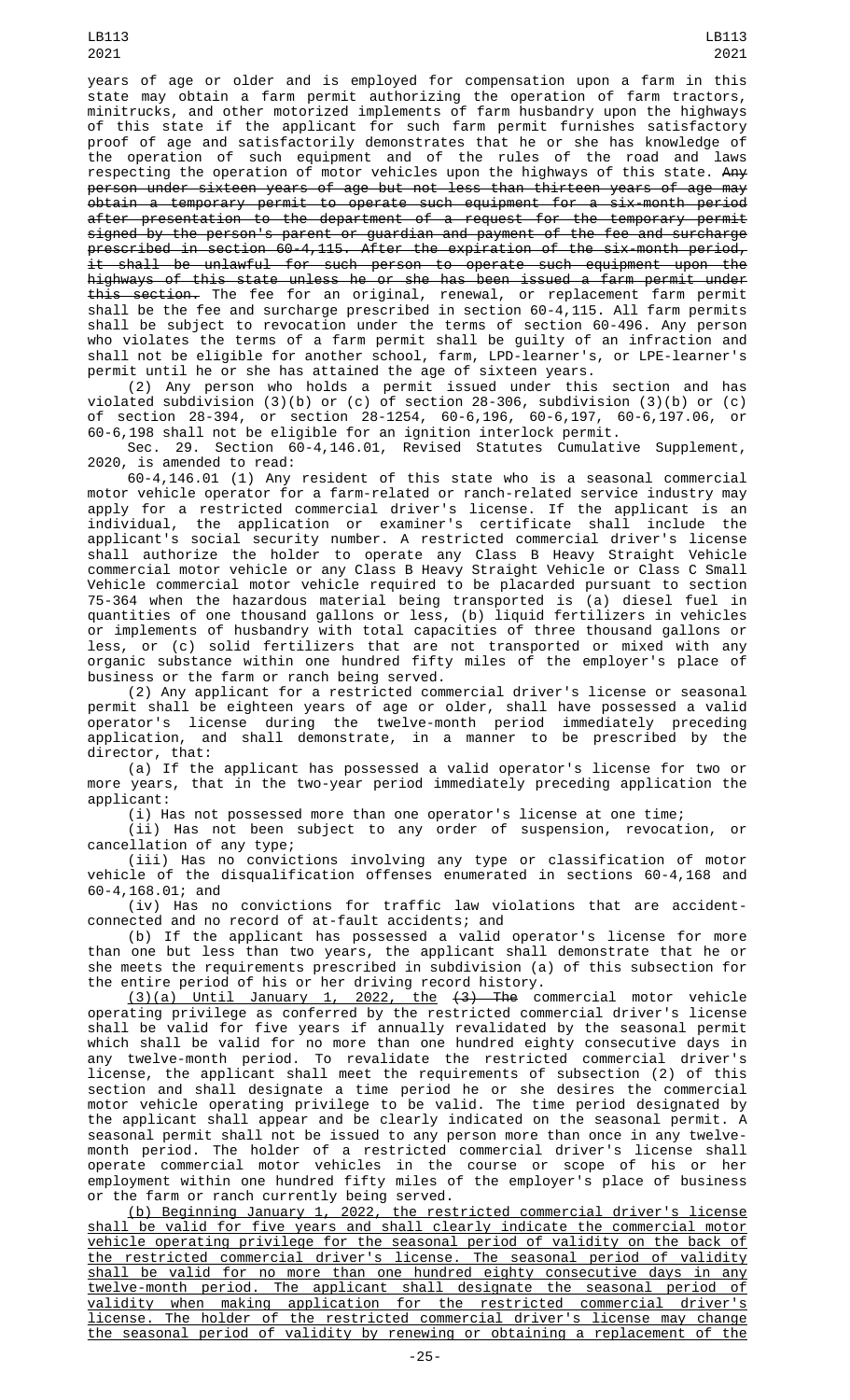years of age or older and is employed for compensation upon a farm in this state may obtain a farm permit authorizing the operation of farm tractors, minitrucks, and other motorized implements of farm husbandry upon the highways of this state if the applicant for such farm permit furnishes satisfactory proof of age and satisfactorily demonstrates that he or she has knowledge of the operation of such equipment and of the rules of the road and laws respecting the operation of motor vehicles upon the highways of this state. A<del>ny</del> person under sixteen years of age but not less than thirteen years of age may obtain a temporary permit to operate such equipment for a six-month period after presentation to the department of a request for the temporary permit signed by the person's parent or guardian and payment of the fee and surcharge prescribed in section 60-4,115. After the expiration of the six-month period, it shall be unlawful for such person to operate such equipment upon the highways of this state unless he or she has been issued a farm permit under this section. The fee for an original, renewal, or replacement farm permit shall be the fee and surcharge prescribed in section 60-4,115. All farm permits shall be subject to revocation under the terms of section 60-496. Any person who violates the terms of a farm permit shall be guilty of an infraction and shall not be eligible for another school, farm, LPD-learner's, or LPE-learner's permit until he or she has attained the age of sixteen years.

(2) Any person who holds a permit issued under this section and has violated subdivision (3)(b) or (c) of section 28-306, subdivision (3)(b) or (c) of section 28-394, or section 28-1254, 60-6,196, 60-6,197, 60-6,197.06, or 60-6,198 shall not be eligible for an ignition interlock permit.

Sec. 29. Section 60-4,146.01, Revised Statutes Cumulative Supplement, 2020, is amended to read:

60-4,146.01 (1) Any resident of this state who is a seasonal commercial motor vehicle operator for a farm-related or ranch-related service industry may<br>apply for a restricted commercial driver's license. If the applicant is an apply for a restricted commercial driver's license. If the applicant is an individual, the application or examiner's certificate shall include the applicant's social security number. A restricted commercial driver's license shall authorize the holder to operate any Class B Heavy Straight Vehicle commercial motor vehicle or any Class B Heavy Straight Vehicle or Class C Small Vehicle commercial motor vehicle required to be placarded pursuant to section 75-364 when the hazardous material being transported is (a) diesel fuel in quantities of one thousand gallons or less, (b) liquid fertilizers in vehicles or implements of husbandry with total capacities of three thousand gallons or less, or (c) solid fertilizers that are not transported or mixed with any organic substance within one hundred fifty miles of the employer's place of business or the farm or ranch being served.

(2) Any applicant for a restricted commercial driver's license or seasonal permit shall be eighteen years of age or older, shall have possessed a valid operator's license during the twelve-month period immediately preceding application, and shall demonstrate, in a manner to be prescribed by the director, that:

(a) If the applicant has possessed a valid operator's license for two or more years, that in the two-year period immediately preceding application the applicant:

(i) Has not possessed more than one operator's license at one time;

(ii) Has not been subject to any order of suspension, revocation, or cancellation of any type;

(iii) Has no convictions involving any type or classification of motor vehicle of the disqualification offenses enumerated in sections 60-4,168 and 60-4,168.01; and

(iv) Has no convictions for traffic law violations that are accidentconnected and no record of at-fault accidents; and

(b) If the applicant has possessed a valid operator's license for more than one but less than two years, the applicant shall demonstrate that he or she meets the requirements prescribed in subdivision (a) of this subsection for the entire period of his or her driving record history.

(3)(a) Until January 1, 2022, the (3) The commercial motor vehicle operating privilege as conferred by the restricted commercial driver's license shall be valid for five years if annually revalidated by the seasonal permit which shall be valid for no more than one hundred eighty consecutive days in any twelve-month period. To revalidate the restricted commercial driver's license, the applicant shall meet the requirements of subsection (2) of this section and shall designate a time period he or she desires the commercial motor vehicle operating privilege to be valid. The time period designated by the applicant shall appear and be clearly indicated on the seasonal permit. A seasonal permit shall not be issued to any person more than once in any twelvemonth period. The holder of a restricted commercial driver's license shall operate commercial motor vehicles in the course or scope of his or her employment within one hundred fifty miles of the employer's place of business or the farm or ranch currently being served.

(b) Beginning January 1, 2022, the restricted commercial driver's license shall be valid for five years and shall clearly indicate the commercial motor vehicle operating privilege for the seasonal period of validity on the back of the restricted commercial driver's license. The seasonal period of validity shall be valid for no more than one hundred eighty consecutive days in any twelve-month period. The applicant shall designate the seasonal period of validity when making application for the restricted commercial driver's license. The holder of the restricted commercial driver's license may change the seasonal period of validity by renewing or obtaining a replacement of the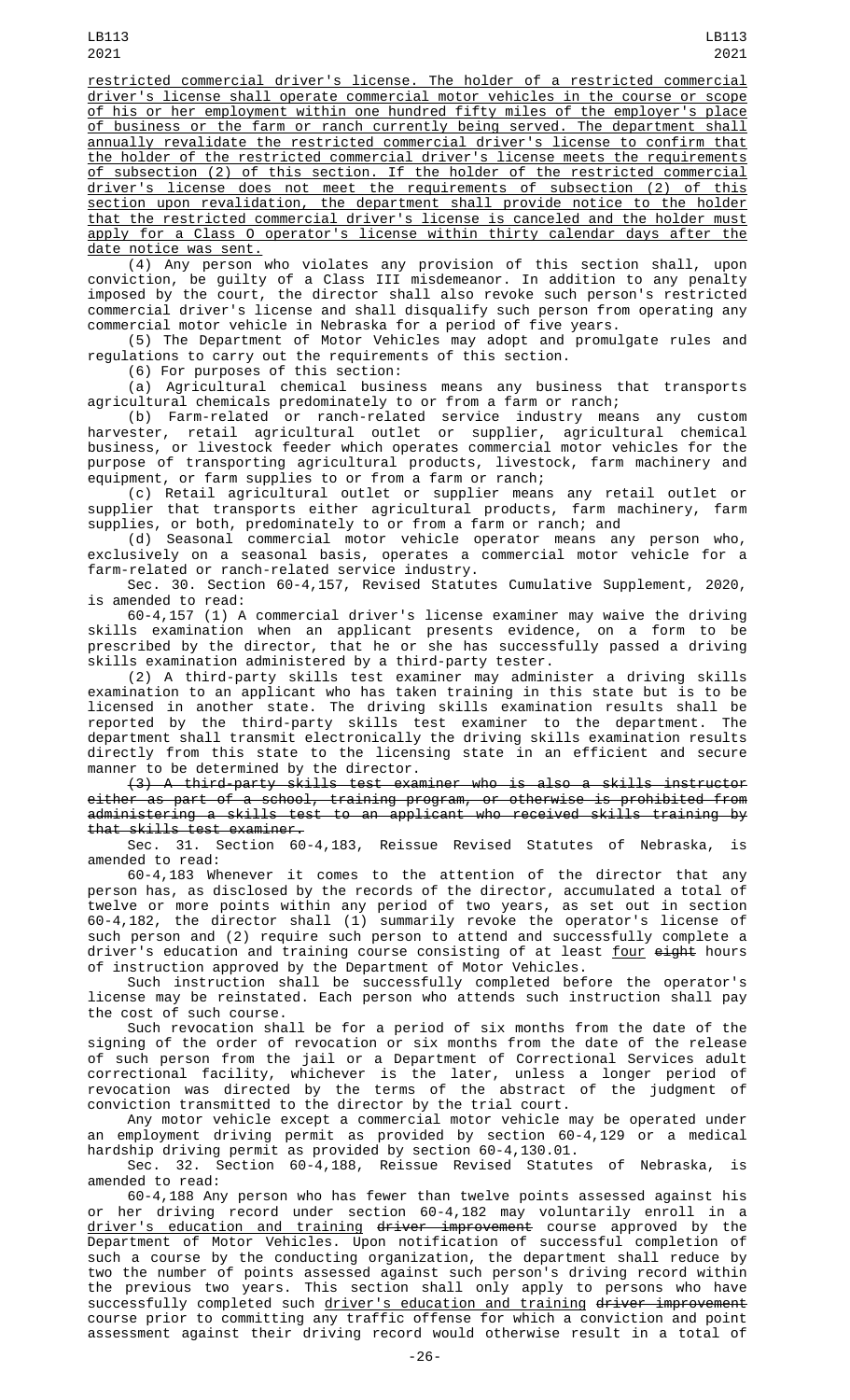restricted commercial driver's license. The holder of a restricted commercial driver's license shall operate commercial motor vehicles in the course or scope of his or her employment within one hundred fifty miles of the employer's place of business or the farm or ranch currently being served. The department shall annually revalidate the restricted commercial driver's license to confirm that the holder of the restricted commercial driver's license meets the requirements of subsection (2) of this section. If the holder of the restricted commercial driver's license does not meet the requirements of subsection (2) of this section upon revalidation, the department shall provide notice to the holder that the restricted commercial driver's license is canceled and the holder must apply for a Class O operator's license within thirty calendar days after the date notice was sent.

(4) Any person who violates any provision of this section shall, upon conviction, be guilty of a Class III misdemeanor. In addition to any penalty imposed by the court, the director shall also revoke such person's restricted commercial driver's license and shall disqualify such person from operating any commercial motor vehicle in Nebraska for a period of five years.

(5) The Department of Motor Vehicles may adopt and promulgate rules and regulations to carry out the requirements of this section.

(6) For purposes of this section:

(a) Agricultural chemical business means any business that transports agricultural chemicals predominately to or from a farm or ranch;

(b) Farm-related or ranch-related service industry means any custom harvester, retail agricultural outlet or supplier, agricultural chemical business, or livestock feeder which operates commercial motor vehicles for the purpose of transporting agricultural products, livestock, farm machinery and equipment, or farm supplies to or from a farm or ranch;

(c) Retail agricultural outlet or supplier means any retail outlet or supplier that transports either agricultural products, farm machinery, farm supplies, or both, predominately to or from a farm or ranch; and

(d) Seasonal commercial motor vehicle operator means any person who, exclusively on a seasonal basis, operates a commercial motor vehicle for a farm-related or ranch-related service industry.

Sec. 30. Section 60-4,157, Revised Statutes Cumulative Supplement, 2020, is amended to read:

60-4,157 (1) A commercial driver's license examiner may waive the driving skills examination when an applicant presents evidence, on a form to be prescribed by the director, that he or she has successfully passed a driving skills examination administered by a third-party tester.

(2) A third-party skills test examiner may administer a driving skills examination to an applicant who has taken training in this state but is to be licensed in another state. The driving skills examination results shall be reported by the third-party skills test examiner to the department. The department shall transmit electronically the driving skills examination results directly from this state to the licensing state in an efficient and secure manner to be determined by the director.

(3) A third-party skills test examiner who is also a skills instructor either as part of a school, training program, or otherwise is prohibited from administering a skills test to an applicant who received skills training by that skills test examiner.

Sec. 31. Section 60-4,183, Reissue Revised Statutes of Nebraska, amended to read:

60-4,183 Whenever it comes to the attention of the director that any person has, as disclosed by the records of the director, accumulated a total of twelve or more points within any period of two years, as set out in section 60-4,182, the director shall (1) summarily revoke the operator's license of such person and (2) require such person to attend and successfully complete a driver's education and training course consisting of at least <u>four</u> <del>eight</del> hours of instruction approved by the Department of Motor Vehicles.

Such instruction shall be successfully completed before the operator's license may be reinstated. Each person who attends such instruction shall pay the cost of such course.

Such revocation shall be for a period of six months from the date of the signing of the order of revocation or six months from the date of the release of such person from the jail or a Department of Correctional Services adult correctional facility, whichever is the later, unless a longer period of revocation was directed by the terms of the abstract of the judgment of conviction transmitted to the director by the trial court.

Any motor vehicle except a commercial motor vehicle may be operated under an employment driving permit as provided by section 60-4,129 or a medical hardship driving permit as provided by section 60-4,130.01.

Sec. 32. Section 60-4,188, Reissue Revised Statutes of Nebraska, is amended to read:

60-4,188 Any person who has fewer than twelve points assessed against his or her driving record under section 60-4,182 may voluntarily enroll in a driver's education and training driver improvement course approved by the Department of Motor Vehicles. Upon notification of successful completion of such a course by the conducting organization, the department shall reduce by two the number of points assessed against such person's driving record within the previous two years. This section shall only apply to persons who have successfully completed such <u>driver's education and training</u> <del>driver improvement</del> course prior to committing any traffic offense for which a conviction and point assessment against their driving record would otherwise result in a total of